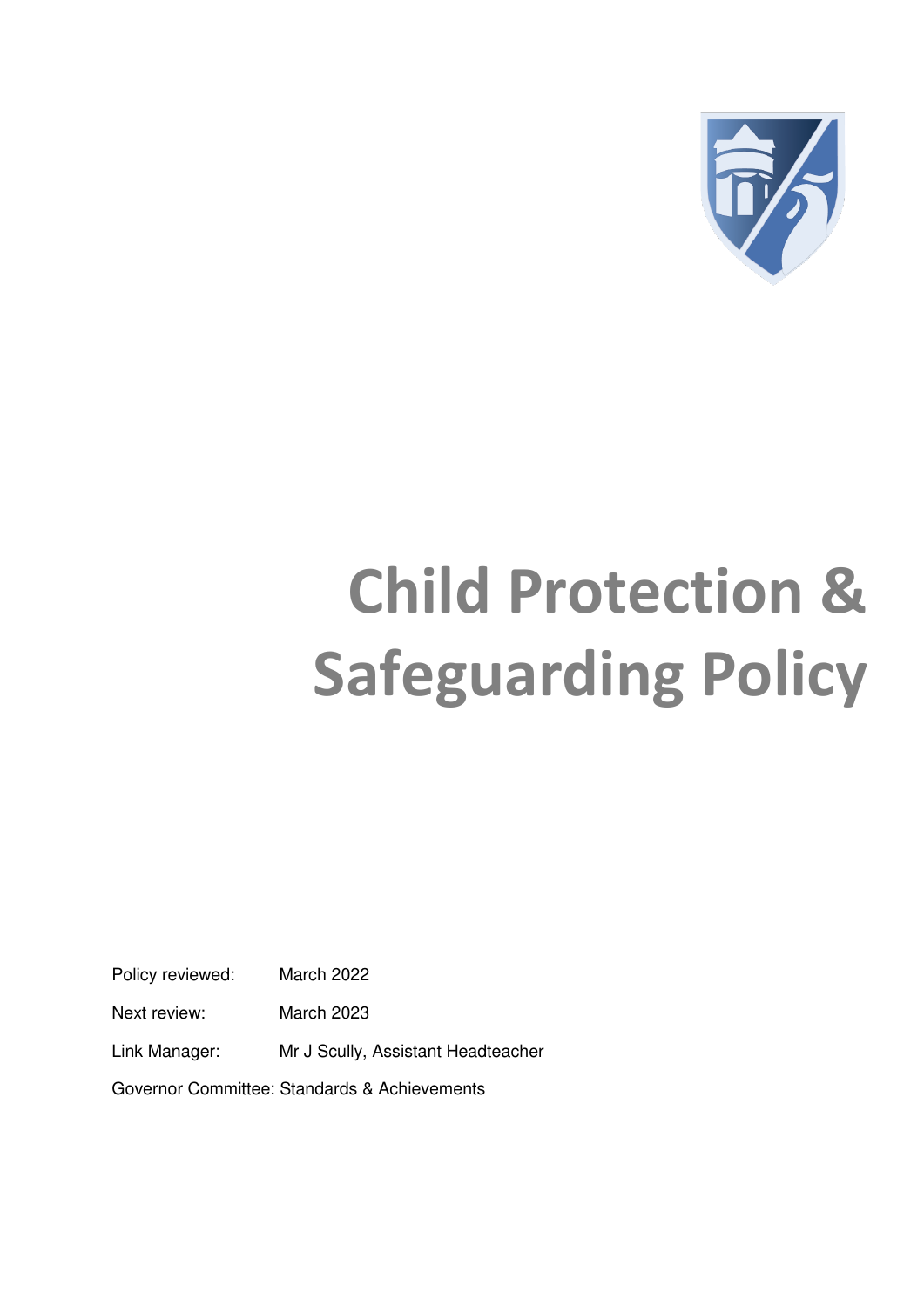

# **Child Protection & Safeguarding Policy**

Policy reviewed: March 2022

Next review: March 2023

Link Manager: Mr J Scully, Assistant Headteacher

Governor Committee: Standards & Achievements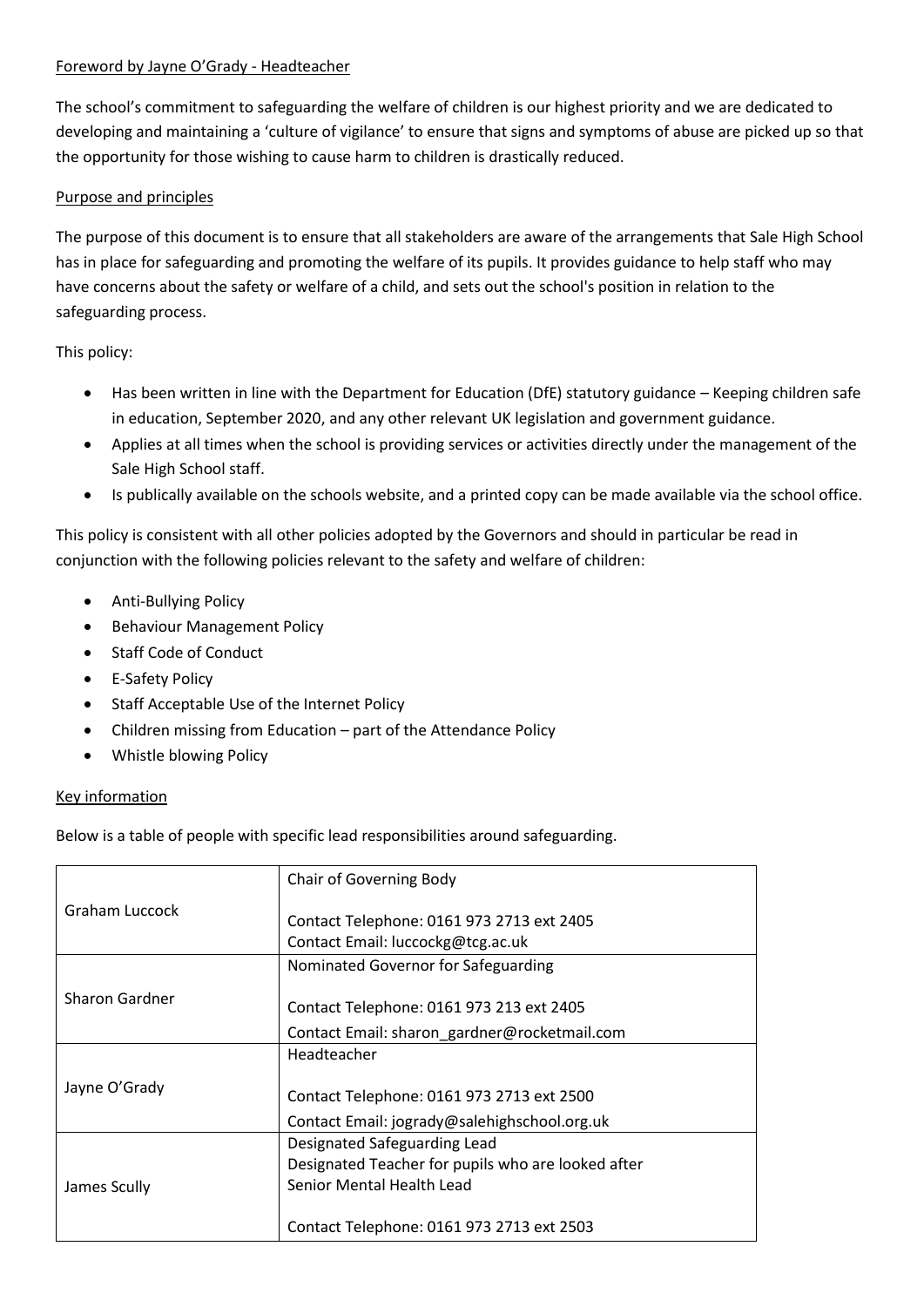#### Foreword by Jayne O'Grady - Headteacher

The school's commitment to safeguarding the welfare of children is our highest priority and we are dedicated to developing and maintaining a 'culture of vigilance' to ensure that signs and symptoms of abuse are picked up so that the opportunity for those wishing to cause harm to children is drastically reduced.

#### Purpose and principles

The purpose of this document is to ensure that all stakeholders are aware of the arrangements that Sale High School has in place for safeguarding and promoting the welfare of its pupils. It provides guidance to help staff who may have concerns about the safety or welfare of a child, and sets out the school's position in relation to the safeguarding process.

This policy:

- Has been written in line with the Department for Education (DfE) statutory guidance Keeping children safe in education, September 2020, and any other relevant UK legislation and government guidance.
- Applies at all times when the school is providing services or activities directly under the management of the Sale High School staff.
- Is publically available on the schools website, and a printed copy can be made available via the school office.

This policy is consistent with all other policies adopted by the Governors and should in particular be read in conjunction with the following policies relevant to the safety and welfare of children:

- Anti-Bullying Policy
- Behaviour Management Policy
- Staff Code of Conduct
- E-Safety Policy
- Staff Acceptable Use of the Internet Policy
- Children missing from Education part of the Attendance Policy
- Whistle blowing Policy

#### Key information

Below is a table of people with specific lead responsibilities around safeguarding.

|                | <b>Chair of Governing Body</b>                                                 |
|----------------|--------------------------------------------------------------------------------|
| Graham Luccock | Contact Telephone: 0161 973 2713 ext 2405<br>Contact Email: luccockg@tcg.ac.uk |
|                | Nominated Governor for Safeguarding                                            |
| Sharon Gardner | Contact Telephone: 0161 973 213 ext 2405                                       |
|                | Contact Email: sharon_gardner@rocketmail.com                                   |
|                | Headteacher                                                                    |
| Jayne O'Grady  | Contact Telephone: 0161 973 2713 ext 2500                                      |
|                | Contact Email: jogrady@salehighschool.org.uk                                   |
|                | Designated Safeguarding Lead                                                   |
|                | Designated Teacher for pupils who are looked after                             |
| James Scully   | Senior Mental Health Lead                                                      |
|                | Contact Telephone: 0161 973 2713 ext 2503                                      |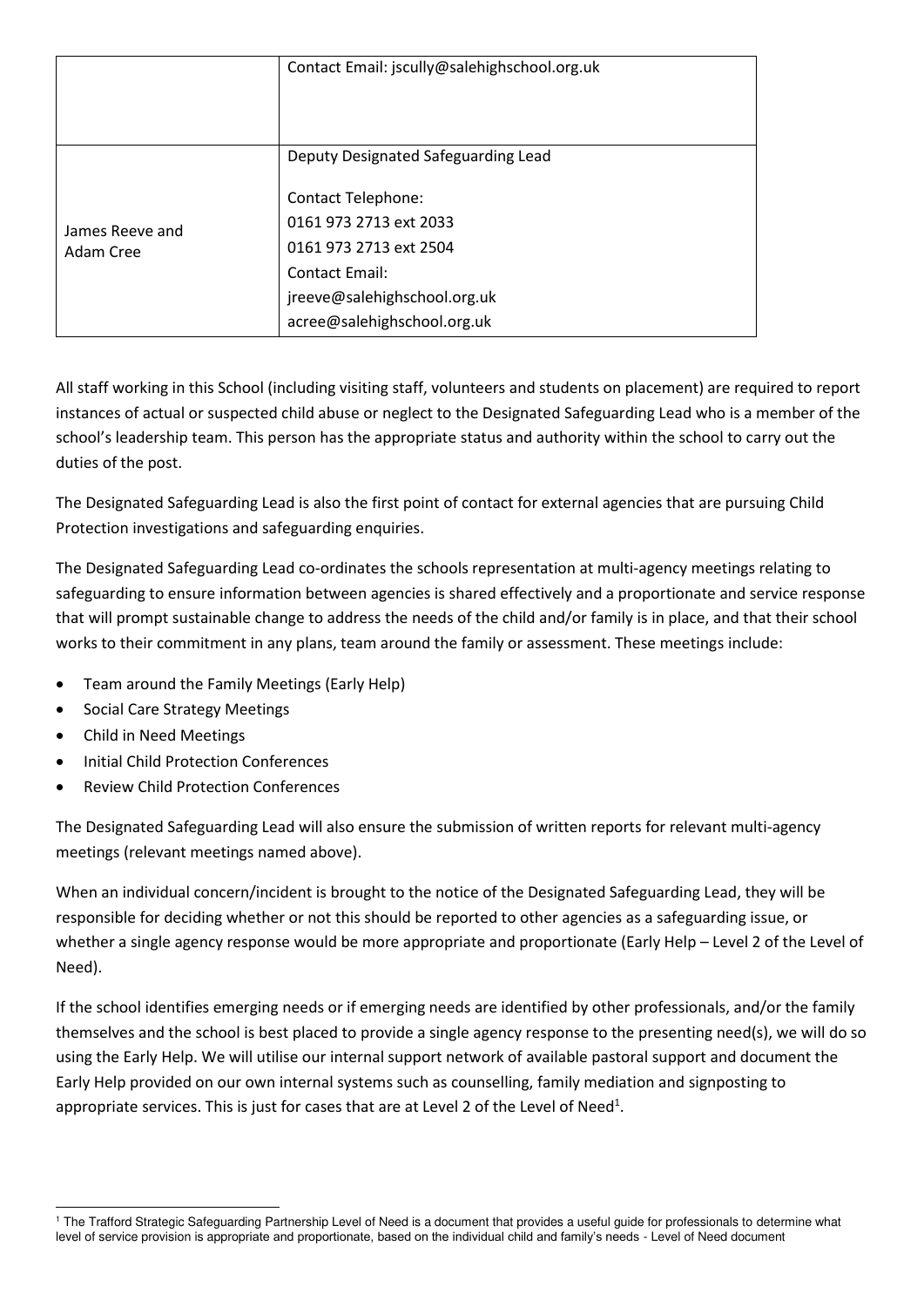|                 | Contact Email: jscully@salehighschool.org.uk |
|-----------------|----------------------------------------------|
|                 | Deputy Designated Safeguarding Lead          |
|                 | <b>Contact Telephone:</b>                    |
| James Reeve and | 0161 973 2713 ext 2033                       |
| Adam Cree       | 0161 973 2713 ext 2504                       |
|                 | Contact Email:                               |
|                 | jreeve@salehighschool.org.uk                 |
|                 | acree@salehighschool.org.uk                  |

All staff working in this School (including visiting staff, volunteers and students on placement) are required to report instances of actual or suspected child abuse or neglect to the Designated Safeguarding Lead who is a member of the school's leadership team. This person has the appropriate status and authority within the school to carry out the duties of the post.

The Designated Safeguarding Lead is also the first point of contact for external agencies that are pursuing Child Protection investigations and safeguarding enquiries.

The Designated Safeguarding Lead co-ordinates the schools representation at multi-agency meetings relating to safeguarding to ensure information between agencies is shared effectively and a proportionate and service response that will prompt sustainable change to address the needs of the child and/or family is in place, and that their school works to their commitment in any plans, team around the family or assessment. These meetings include:

- Team around the Family Meetings (Early Help)
- Social Care Strategy Meetings
- Child in Need Meetings
- Initial Child Protection Conferences
- Review Child Protection Conferences

The Designated Safeguarding Lead will also ensure the submission of written reports for relevant multi-agency meetings (relevant meetings named above).

When an individual concern/incident is brought to the notice of the Designated Safeguarding Lead, they will be responsible for deciding whether or not this should be reported to other agencies as a safeguarding issue, or whether a single agency response would be more appropriate and proportionate (Early Help – Level 2 of the Level of Need).

If the school identifies emerging needs or if emerging needs are identified by other professionals, and/or the family themselves and the school is best placed to provide a single agency response to the presenting need(s), we will do so using the Early Help. We will utilise our internal support network of available pastoral support and document the Early Help provided on our own internal systems such as counselling, family mediation and signposting to appropriate services. This is just for cases that are at Level 2 of the Level of Need<sup>1</sup>.

<sup>-</sup><sup>1</sup> The Trafford Strategic Safeguarding Partnership Level of Need is a document that provides a useful guide for professionals to determine what level of service provision is appropriate and proportionate, based on the individual child and family's needs - Level of Need document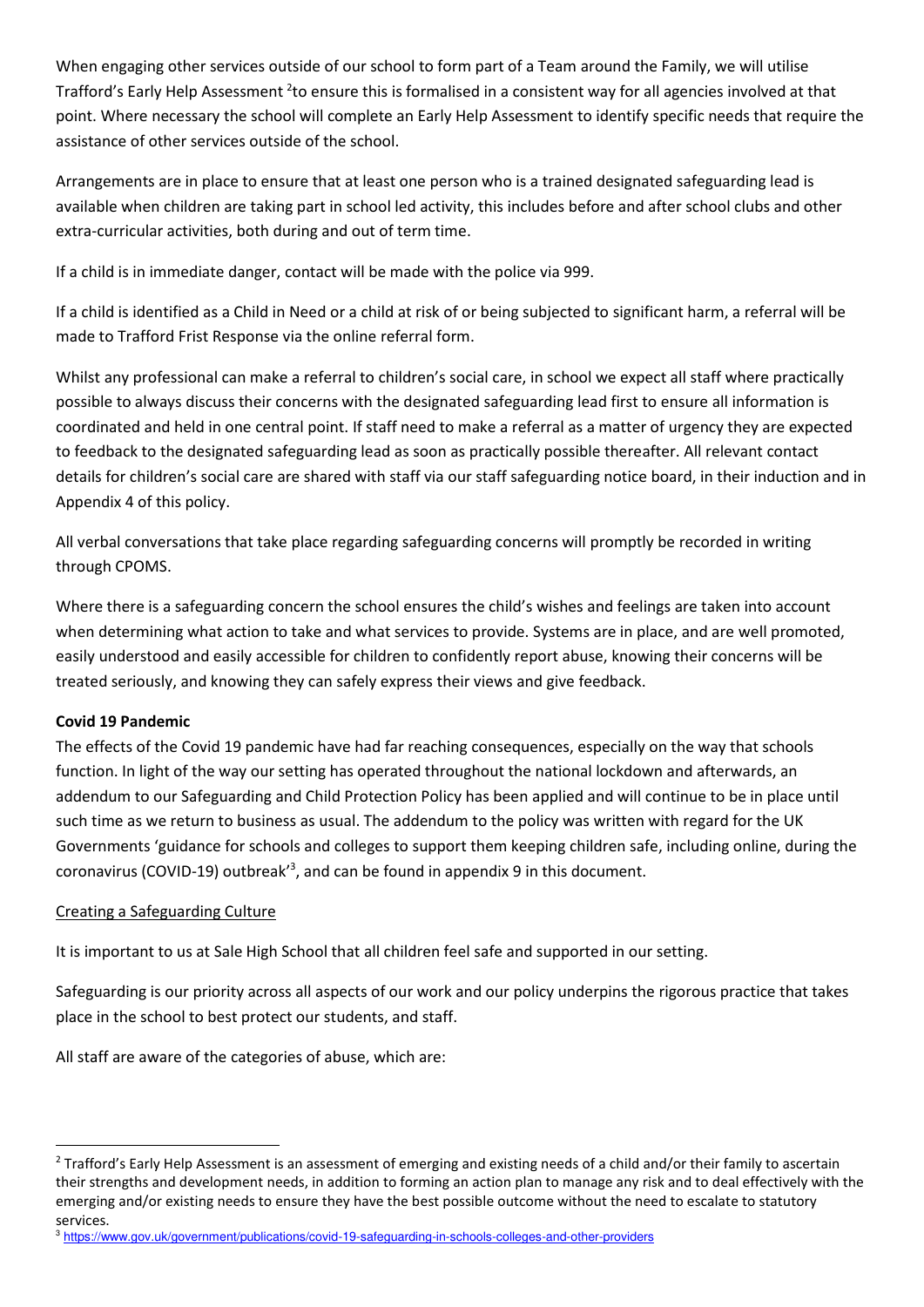When engaging other services outside of our school to form part of a Team around the Family, we will utilise Trafford's Early Help Assessment <sup>2</sup>to ensure this is formalised in a consistent way for all agencies involved at that point. Where necessary the school will complete an Early Help Assessment to identify specific needs that require the assistance of other services outside of the school.

Arrangements are in place to ensure that at least one person who is a trained designated safeguarding lead is available when children are taking part in school led activity, this includes before and after school clubs and other extra-curricular activities, both during and out of term time.

If a child is in immediate danger, contact will be made with the police via 999.

If a child is identified as a Child in Need or a child at risk of or being subjected to significant harm, a referral will be made to Trafford Frist Response via the online referral form.

Whilst any professional can make a referral to children's social care, in school we expect all staff where practically possible to always discuss their concerns with the designated safeguarding lead first to ensure all information is coordinated and held in one central point. If staff need to make a referral as a matter of urgency they are expected to feedback to the designated safeguarding lead as soon as practically possible thereafter. All relevant contact details for children's social care are shared with staff via our staff safeguarding notice board, in their induction and in Appendix 4 of this policy.

All verbal conversations that take place regarding safeguarding concerns will promptly be recorded in writing through CPOMS.

Where there is a safeguarding concern the school ensures the child's wishes and feelings are taken into account when determining what action to take and what services to provide. Systems are in place, and are well promoted, easily understood and easily accessible for children to confidently report abuse, knowing their concerns will be treated seriously, and knowing they can safely express their views and give feedback.

#### **Covid 19 Pandemic**

-

The effects of the Covid 19 pandemic have had far reaching consequences, especially on the way that schools function. In light of the way our setting has operated throughout the national lockdown and afterwards, an addendum to our Safeguarding and Child Protection Policy has been applied and will continue to be in place until such time as we return to business as usual. The addendum to the policy was written with regard for the UK Governments 'guidance for schools and colleges to support them keeping children safe, including online, during the coronavirus (COVID-19) outbreak'<sup>3</sup> , and can be found in appendix 9 in this document.

#### Creating a Safeguarding Culture

It is important to us at Sale High School that all children feel safe and supported in our setting.

Safeguarding is our priority across all aspects of our work and our policy underpins the rigorous practice that takes place in the school to best protect our students, and staff.

All staff are aware of the categories of abuse, which are:

<sup>&</sup>lt;sup>2</sup> Trafford's Early Help Assessment is an assessment of emerging and existing needs of a child and/or their family to ascertain their strengths and development needs, in addition to forming an action plan to manage any risk and to deal effectively with the emerging and/or existing needs to ensure they have the best possible outcome without the need to escalate to statutory services.

<sup>&</sup>lt;sup>3</sup> <https://www.gov.uk/government/publications/covid-19-safeguarding-in-schools-colleges-and-other-providers>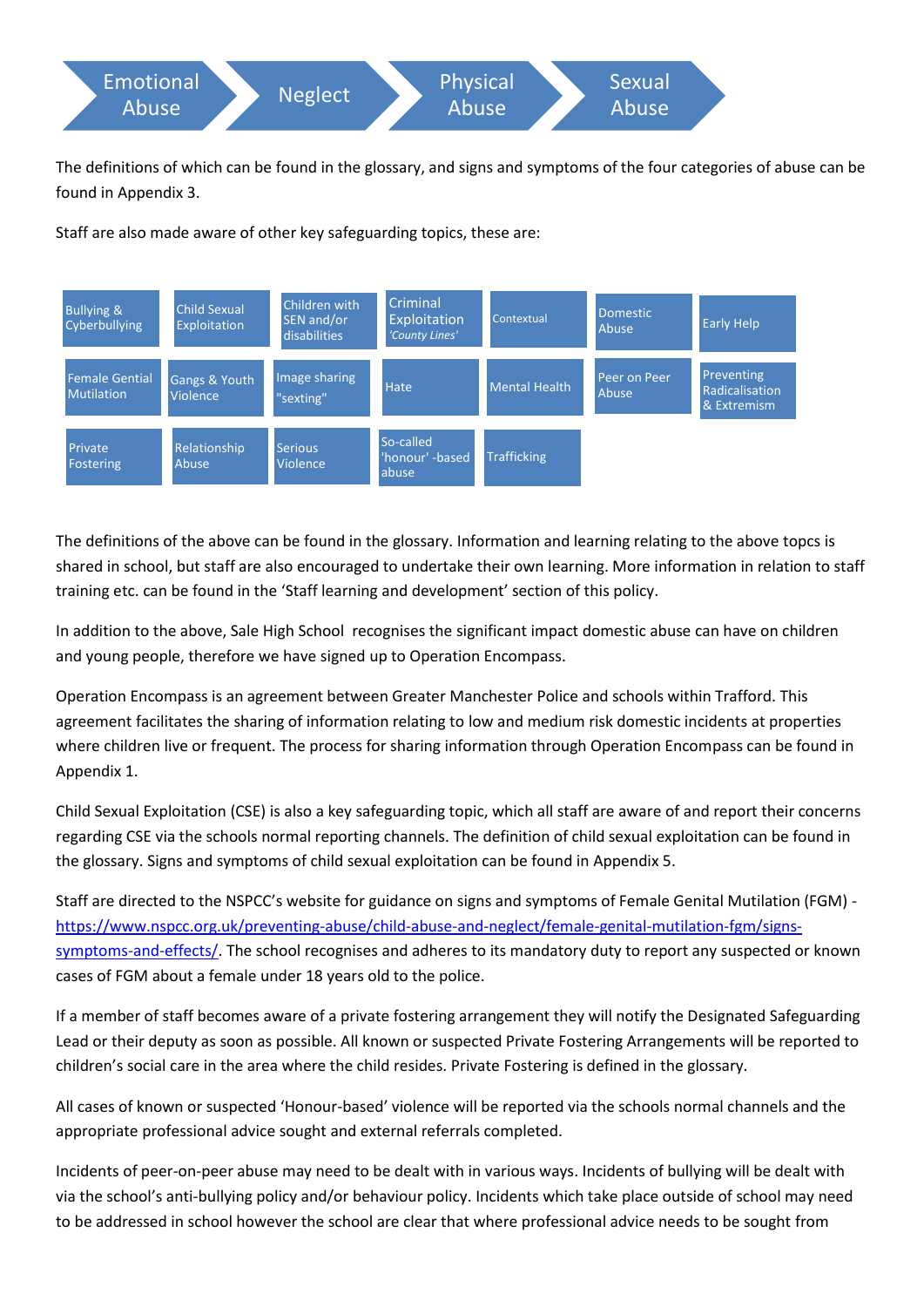

The definitions of which can be found in the glossary, and signs and symptoms of the four categories of abuse can be found in Appendix 3.

Staff are also made aware of other key safeguarding topics, these are:



The definitions of the above can be found in the glossary. Information and learning relating to the above topcs is shared in school, but staff are also encouraged to undertake their own learning. More information in relation to staff training etc. can be found in the 'Staff learning and development' section of this policy.

In addition to the above, Sale High School recognises the significant impact domestic abuse can have on children and young people, therefore we have signed up to Operation Encompass.

Operation Encompass is an agreement between Greater Manchester Police and schools within Trafford. This agreement facilitates the sharing of information relating to low and medium risk domestic incidents at properties where children live or frequent. The process for sharing information through Operation Encompass can be found in Appendix 1.

Child Sexual Exploitation (CSE) is also a key safeguarding topic, which all staff are aware of and report their concerns regarding CSE via the schools normal reporting channels. The definition of child sexual exploitation can be found in the glossary. Signs and symptoms of child sexual exploitation can be found in Appendix 5.

Staff are directed to the NSPCC's website for guidance on signs and symptoms of Female Genital Mutilation (FGM) [https://www.nspcc.org.uk/preventing-abuse/child-abuse-and-neglect/female-genital-mutilation-fgm/signs](https://www.nspcc.org.uk/preventing-abuse/child-abuse-and-neglect/female-genital-mutilation-fgm/signs-symptoms-and-effects/)[symptoms-and-effects/.](https://www.nspcc.org.uk/preventing-abuse/child-abuse-and-neglect/female-genital-mutilation-fgm/signs-symptoms-and-effects/) The school recognises and adheres to its mandatory duty to report any suspected or known cases of FGM about a female under 18 years old to the police.

If a member of staff becomes aware of a private fostering arrangement they will notify the Designated Safeguarding Lead or their deputy as soon as possible. All known or suspected Private Fostering Arrangements will be reported to children's social care in the area where the child resides. Private Fostering is defined in the glossary.

All cases of known or suspected 'Honour-based' violence will be reported via the schools normal channels and the appropriate professional advice sought and external referrals completed.

Incidents of peer-on-peer abuse may need to be dealt with in various ways. Incidents of bullying will be dealt with via the school's anti-bullying policy and/or behaviour policy. Incidents which take place outside of school may need to be addressed in school however the school are clear that where professional advice needs to be sought from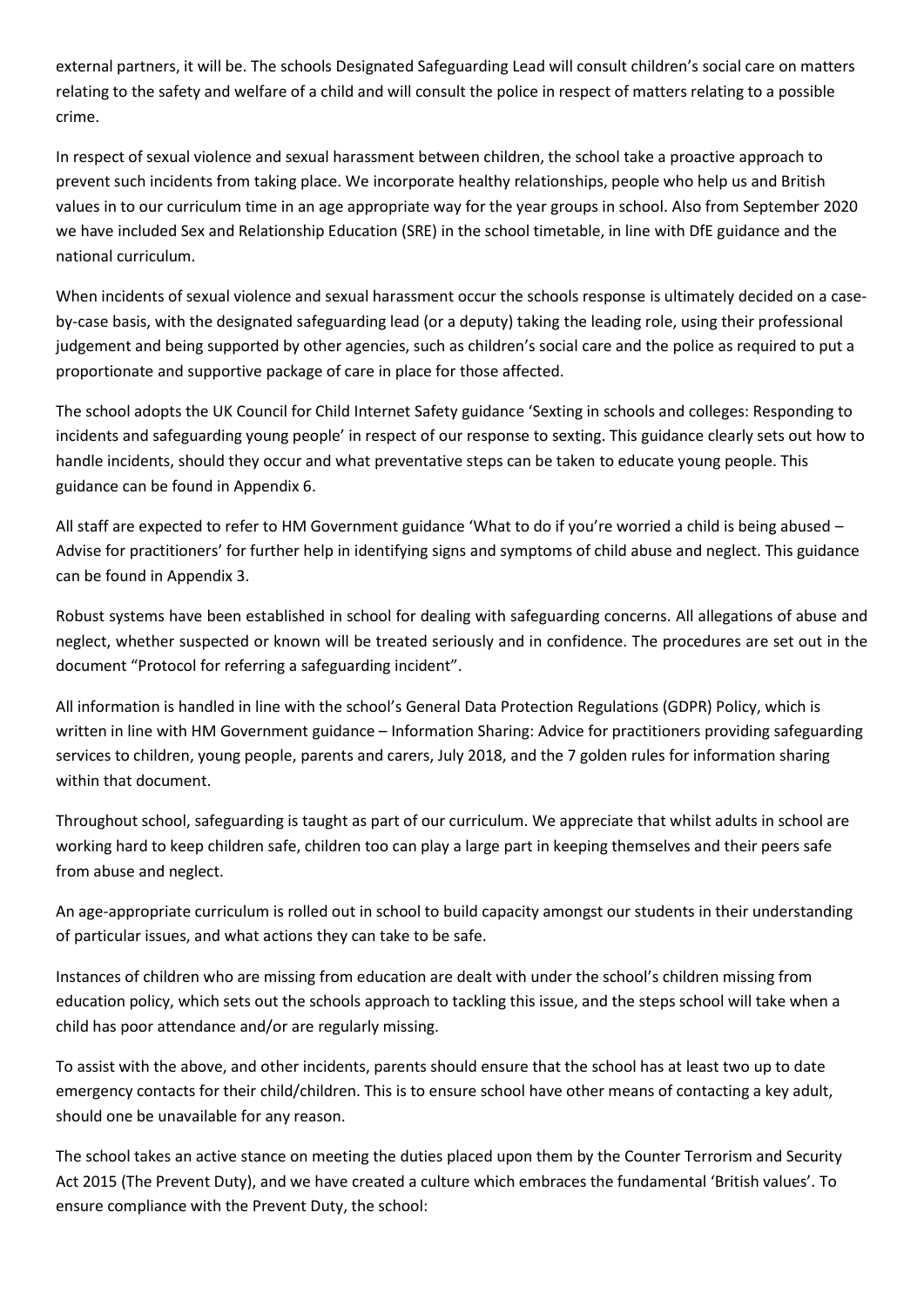external partners, it will be. The schools Designated Safeguarding Lead will consult children's social care on matters relating to the safety and welfare of a child and will consult the police in respect of matters relating to a possible crime.

In respect of sexual violence and sexual harassment between children, the school take a proactive approach to prevent such incidents from taking place. We incorporate healthy relationships, people who help us and British values in to our curriculum time in an age appropriate way for the year groups in school. Also from September 2020 we have included Sex and Relationship Education (SRE) in the school timetable, in line with DfE guidance and the national curriculum.

When incidents of sexual violence and sexual harassment occur the schools response is ultimately decided on a caseby-case basis, with the designated safeguarding lead (or a deputy) taking the leading role, using their professional judgement and being supported by other agencies, such as children's social care and the police as required to put a proportionate and supportive package of care in place for those affected.

The school adopts the UK Council for Child Internet Safety guidance 'Sexting in schools and colleges: Responding to incidents and safeguarding young people' in respect of our response to sexting. This guidance clearly sets out how to handle incidents, should they occur and what preventative steps can be taken to educate young people. This guidance can be found in Appendix 6.

All staff are expected to refer to HM Government guidance 'What to do if you're worried a child is being abused – Advise for practitioners' for further help in identifying signs and symptoms of child abuse and neglect. This guidance can be found in Appendix 3.

Robust systems have been established in school for dealing with safeguarding concerns. All allegations of abuse and neglect, whether suspected or known will be treated seriously and in confidence. The procedures are set out in the document "Protocol for referring a safeguarding incident".

All information is handled in line with the school's General Data Protection Regulations (GDPR) Policy, which is written in line with HM Government guidance – Information Sharing: Advice for practitioners providing safeguarding services to children, young people, parents and carers, July 2018, and the 7 golden rules for information sharing within that document.

Throughout school, safeguarding is taught as part of our curriculum. We appreciate that whilst adults in school are working hard to keep children safe, children too can play a large part in keeping themselves and their peers safe from abuse and neglect.

An age-appropriate curriculum is rolled out in school to build capacity amongst our students in their understanding of particular issues, and what actions they can take to be safe.

Instances of children who are missing from education are dealt with under the school's children missing from education policy, which sets out the schools approach to tackling this issue, and the steps school will take when a child has poor attendance and/or are regularly missing.

To assist with the above, and other incidents, parents should ensure that the school has at least two up to date emergency contacts for their child/children. This is to ensure school have other means of contacting a key adult, should one be unavailable for any reason.

The school takes an active stance on meeting the duties placed upon them by the Counter Terrorism and Security Act 2015 (The Prevent Duty), and we have created a culture which embraces the fundamental 'British values'. To ensure compliance with the Prevent Duty, the school: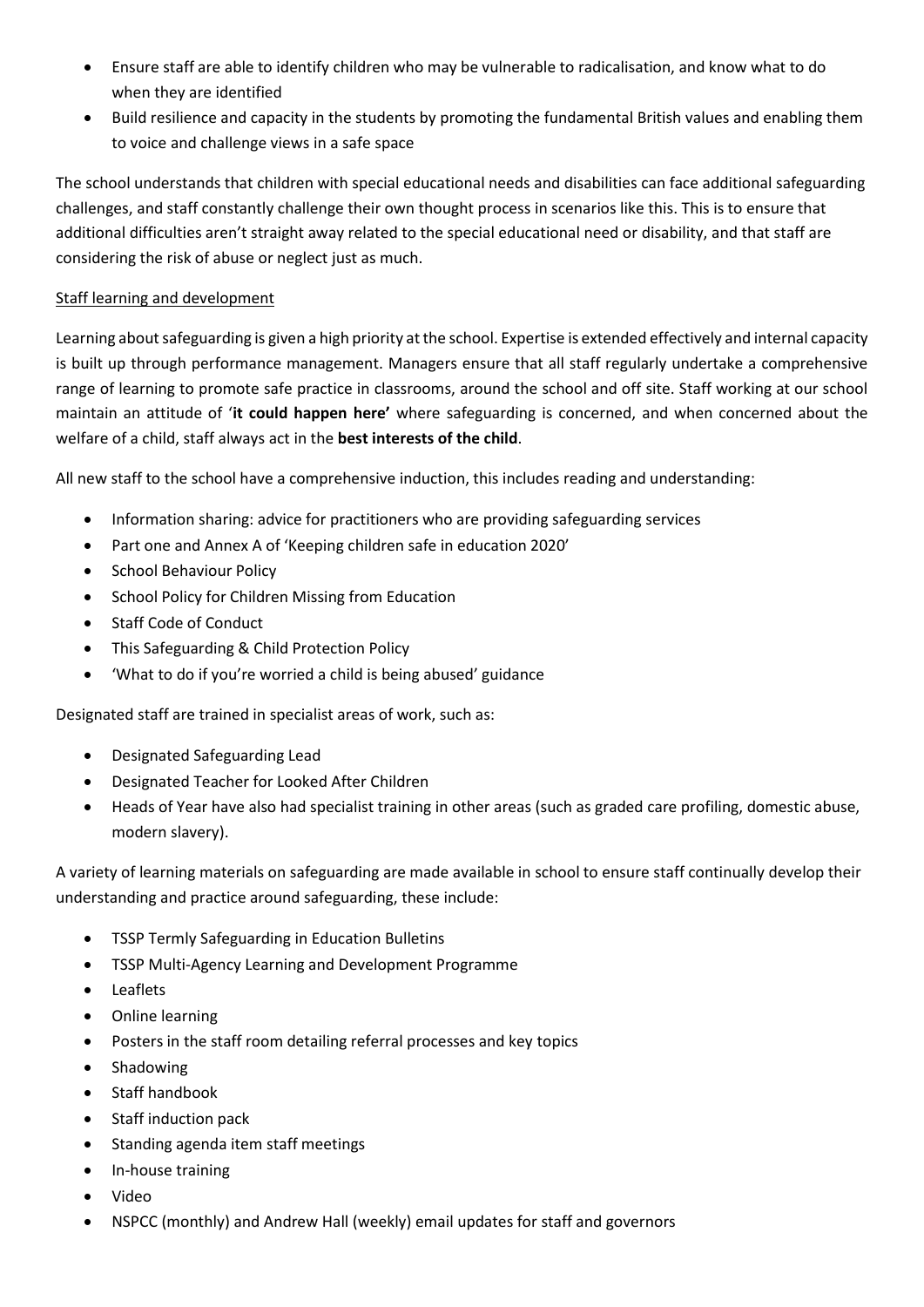- Ensure staff are able to identify children who may be vulnerable to radicalisation, and know what to do when they are identified
- Build resilience and capacity in the students by promoting the fundamental British values and enabling them to voice and challenge views in a safe space

The school understands that children with special educational needs and disabilities can face additional safeguarding challenges, and staff constantly challenge their own thought process in scenarios like this. This is to ensure that additional difficulties aren't straight away related to the special educational need or disability, and that staff are considering the risk of abuse or neglect just as much.

#### Staff learning and development

Learning about safeguarding is given a high priority at the school. Expertise is extended effectively and internal capacity is built up through performance management. Managers ensure that all staff regularly undertake a comprehensive range of learning to promote safe practice in classrooms, around the school and off site. Staff working at our school maintain an attitude of '**it could happen here'** where safeguarding is concerned, and when concerned about the welfare of a child, staff always act in the **best interests of the child**.

All new staff to the school have a comprehensive induction, this includes reading and understanding:

- Information sharing: advice for practitioners who are providing safeguarding services
- Part one and Annex A of 'Keeping children safe in education 2020'
- **•** School Behaviour Policy
- School Policy for Children Missing from Education
- Staff Code of Conduct
- This Safeguarding & Child Protection Policy
- 'What to do if you're worried a child is being abused' guidance

Designated staff are trained in specialist areas of work, such as:

- Designated Safeguarding Lead
- Designated Teacher for Looked After Children
- Heads of Year have also had specialist training in other areas (such as graded care profiling, domestic abuse, modern slavery).

A variety of learning materials on safeguarding are made available in school to ensure staff continually develop their understanding and practice around safeguarding, these include:

- TSSP Termly Safeguarding in Education Bulletins
- TSSP Multi-Agency Learning and Development Programme
- Leaflets
- Online learning
- Posters in the staff room detailing referral processes and key topics
- Shadowing
- Staff handbook
- Staff induction pack
- Standing agenda item staff meetings
- In-house training
- Video
- NSPCC (monthly) and Andrew Hall (weekly) email updates for staff and governors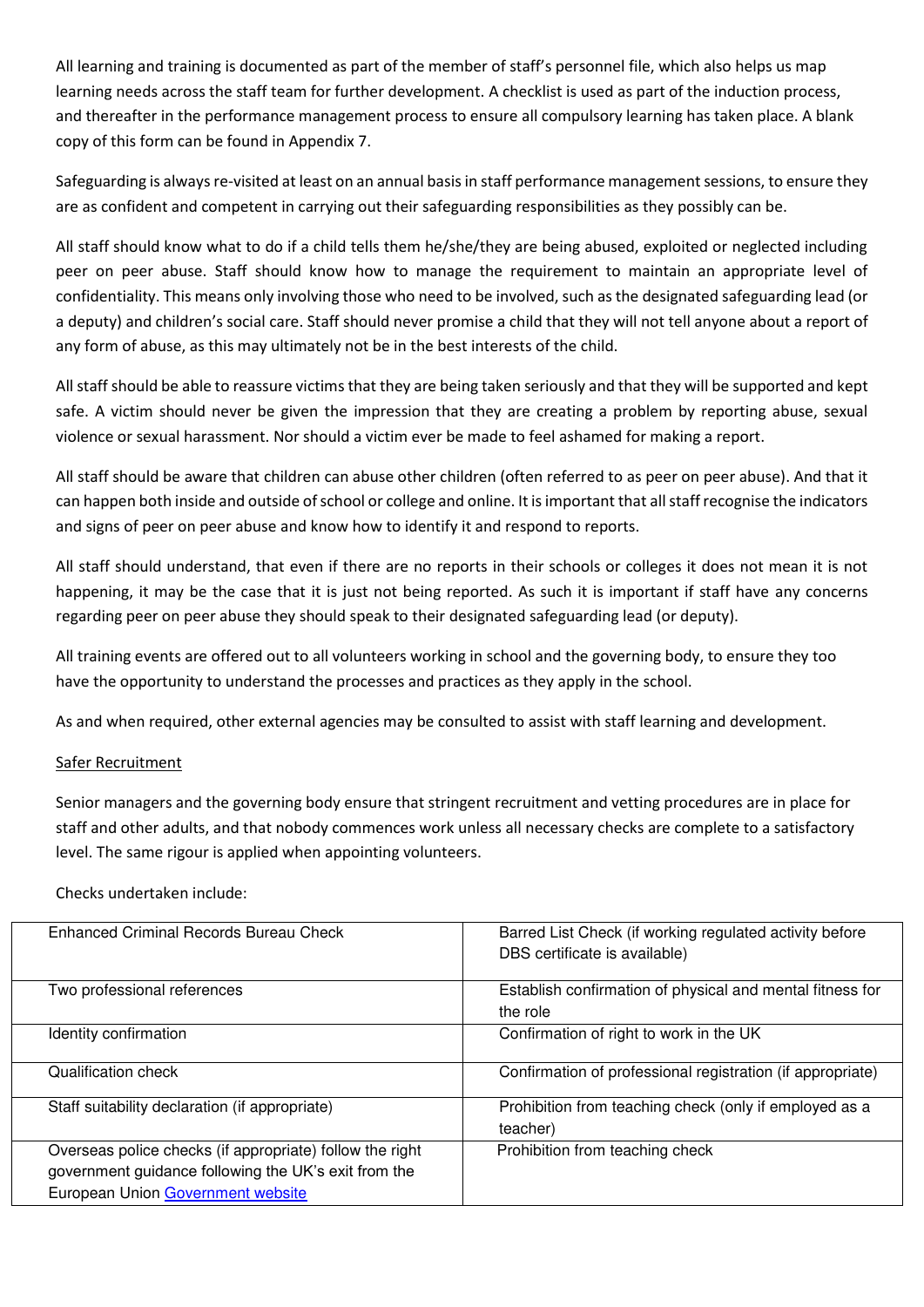All learning and training is documented as part of the member of staff's personnel file, which also helps us map learning needs across the staff team for further development. A checklist is used as part of the induction process, and thereafter in the performance management process to ensure all compulsory learning has taken place. A blank copy of this form can be found in Appendix 7.

Safeguarding is always re-visited at least on an annual basis in staff performance management sessions, to ensure they are as confident and competent in carrying out their safeguarding responsibilities as they possibly can be.

All staff should know what to do if a child tells them he/she/they are being abused, exploited or neglected including peer on peer abuse. Staff should know how to manage the requirement to maintain an appropriate level of confidentiality. This means only involving those who need to be involved, such as the designated safeguarding lead (or a deputy) and children's social care. Staff should never promise a child that they will not tell anyone about a report of any form of abuse, as this may ultimately not be in the best interests of the child.

All staff should be able to reassure victims that they are being taken seriously and that they will be supported and kept safe. A victim should never be given the impression that they are creating a problem by reporting abuse, sexual violence or sexual harassment. Nor should a victim ever be made to feel ashamed for making a report.

All staff should be aware that children can abuse other children (often referred to as peer on peer abuse). And that it can happen both inside and outside of school or college and online. It is important that all staff recognise the indicators and signs of peer on peer abuse and know how to identify it and respond to reports.

All staff should understand, that even if there are no reports in their schools or colleges it does not mean it is not happening, it may be the case that it is just not being reported. As such it is important if staff have any concerns regarding peer on peer abuse they should speak to their designated safeguarding lead (or deputy).

All training events are offered out to all volunteers working in school and the governing body, to ensure they too have the opportunity to understand the processes and practices as they apply in the school.

As and when required, other external agencies may be consulted to assist with staff learning and development.

#### Safer Recruitment

Senior managers and the governing body ensure that stringent recruitment and vetting procedures are in place for staff and other adults, and that nobody commences work unless all necessary checks are complete to a satisfactory level. The same rigour is applied when appointing volunteers.

#### Checks undertaken include:

| Enhanced Criminal Records Bureau Check                                                                                                                       | Barred List Check (if working regulated activity before<br>DBS certificate is available) |
|--------------------------------------------------------------------------------------------------------------------------------------------------------------|------------------------------------------------------------------------------------------|
| Two professional references                                                                                                                                  | Establish confirmation of physical and mental fitness for<br>the role                    |
| Identity confirmation                                                                                                                                        | Confirmation of right to work in the UK                                                  |
| Qualification check                                                                                                                                          | Confirmation of professional registration (if appropriate)                               |
| Staff suitability declaration (if appropriate)                                                                                                               | Prohibition from teaching check (only if employed as a<br>teacher)                       |
| Overseas police checks (if appropriate) follow the right<br>government guidance following the UK's exit from the<br><b>European Union Government website</b> | Prohibition from teaching check                                                          |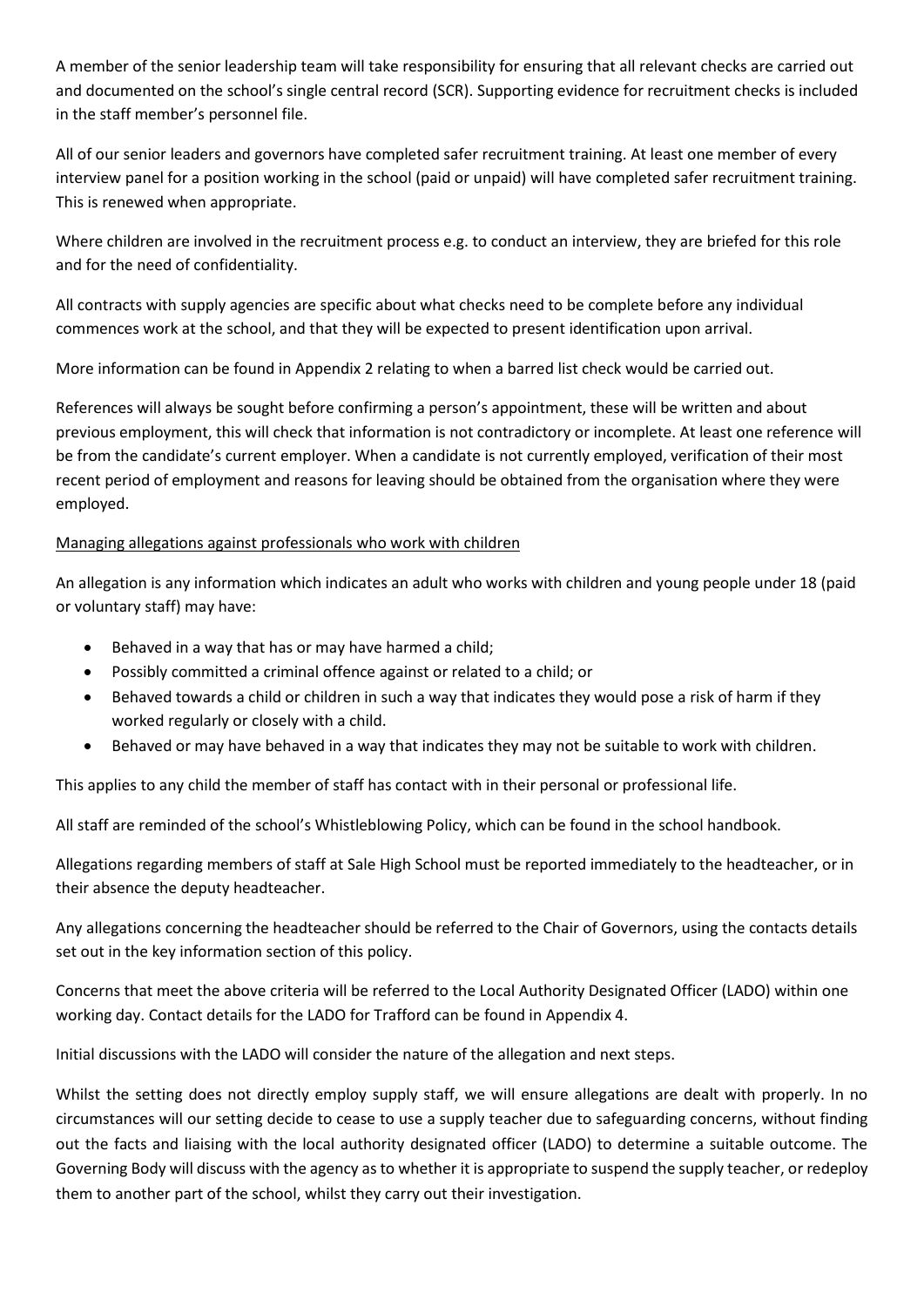A member of the senior leadership team will take responsibility for ensuring that all relevant checks are carried out and documented on the school's single central record (SCR). Supporting evidence for recruitment checks is included in the staff member's personnel file.

All of our senior leaders and governors have completed safer recruitment training. At least one member of every interview panel for a position working in the school (paid or unpaid) will have completed safer recruitment training. This is renewed when appropriate.

Where children are involved in the recruitment process e.g. to conduct an interview, they are briefed for this role and for the need of confidentiality.

All contracts with supply agencies are specific about what checks need to be complete before any individual commences work at the school, and that they will be expected to present identification upon arrival.

More information can be found in Appendix 2 relating to when a barred list check would be carried out.

References will always be sought before confirming a person's appointment, these will be written and about previous employment, this will check that information is not contradictory or incomplete. At least one reference will be from the candidate's current employer. When a candidate is not currently employed, verification of their most recent period of employment and reasons for leaving should be obtained from the organisation where they were employed.

#### Managing allegations against professionals who work with children

An allegation is any information which indicates an adult who works with children and young people under 18 (paid or voluntary staff) may have:

- Behaved in a way that has or may have harmed a child;
- Possibly committed a criminal offence against or related to a child; or
- Behaved towards a child or children in such a way that indicates they would pose a risk of harm if they worked regularly or closely with a child.
- Behaved or may have behaved in a way that indicates they may not be suitable to work with children.

This applies to any child the member of staff has contact with in their personal or professional life.

All staff are reminded of the school's Whistleblowing Policy, which can be found in the school handbook.

Allegations regarding members of staff at Sale High School must be reported immediately to the headteacher, or in their absence the deputy headteacher.

Any allegations concerning the headteacher should be referred to the Chair of Governors, using the contacts details set out in the key information section of this policy.

Concerns that meet the above criteria will be referred to the Local Authority Designated Officer (LADO) within one working day. Contact details for the LADO for Trafford can be found in Appendix 4.

Initial discussions with the LADO will consider the nature of the allegation and next steps.

Whilst the setting does not directly employ supply staff, we will ensure allegations are dealt with properly. In no circumstances will our setting decide to cease to use a supply teacher due to safeguarding concerns, without finding out the facts and liaising with the local authority designated officer (LADO) to determine a suitable outcome. The Governing Body will discuss with the agency as to whether it is appropriate to suspend the supply teacher, or redeploy them to another part of the school, whilst they carry out their investigation.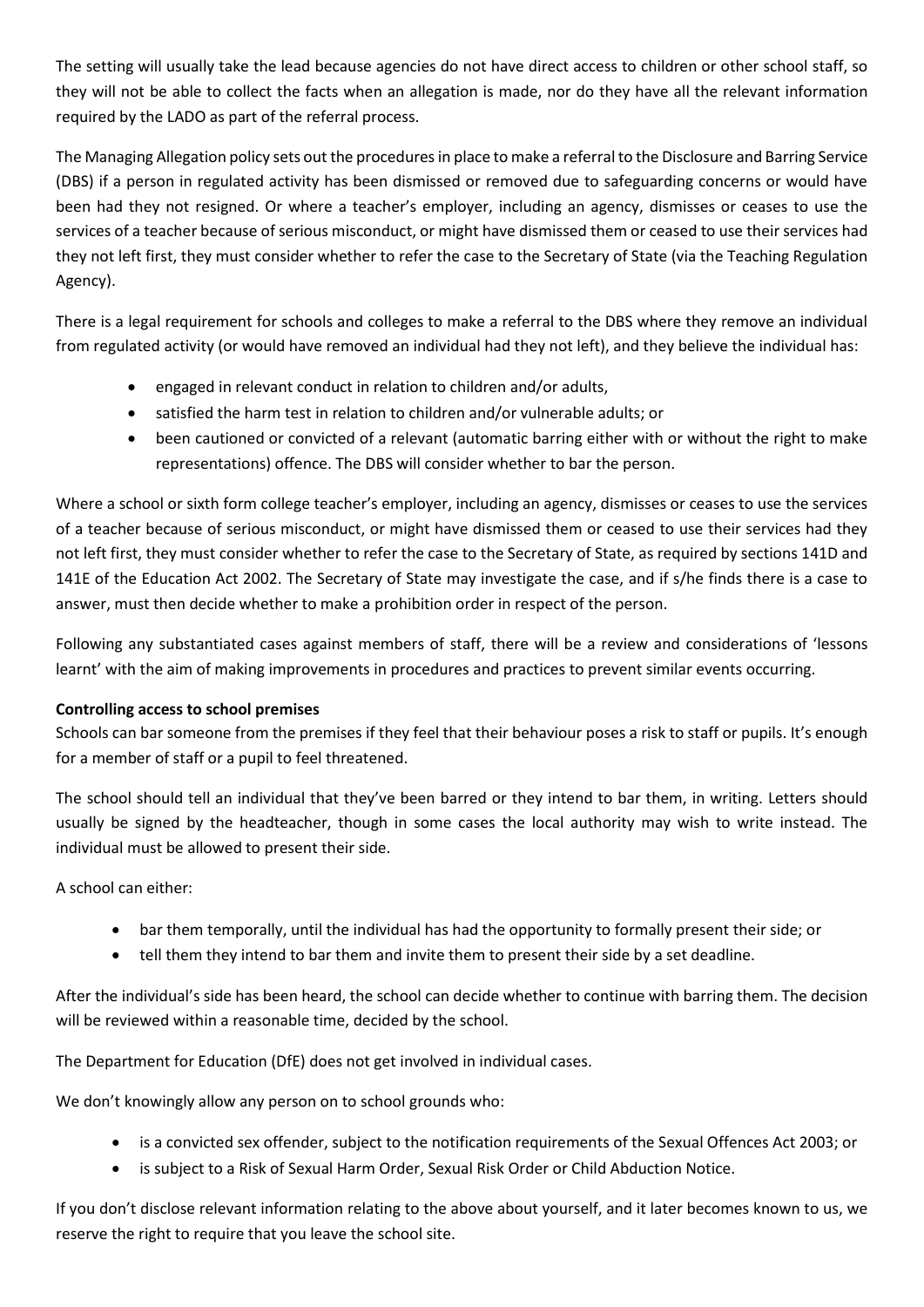The setting will usually take the lead because agencies do not have direct access to children or other school staff, so they will not be able to collect the facts when an allegation is made, nor do they have all the relevant information required by the LADO as part of the referral process.

The Managing Allegation policy sets out the procedures in place to make a referral to the Disclosure and Barring Service (DBS) if a person in regulated activity has been dismissed or removed due to safeguarding concerns or would have been had they not resigned. Or where a teacher's employer, including an agency, dismisses or ceases to use the services of a teacher because of serious misconduct, or might have dismissed them or ceased to use their services had they not left first, they must consider whether to refer the case to the Secretary of State (via the Teaching Regulation Agency).

There is a legal requirement for schools and colleges to make a referral to the DBS where they remove an individual from regulated activity (or would have removed an individual had they not left), and they believe the individual has:

- engaged in relevant conduct in relation to children and/or adults,
- satisfied the harm test in relation to children and/or vulnerable adults; or
- been cautioned or convicted of a relevant (automatic barring either with or without the right to make representations) offence. The DBS will consider whether to bar the person.

Where a school or sixth form college teacher's employer, including an agency, dismisses or ceases to use the services of a teacher because of serious misconduct, or might have dismissed them or ceased to use their services had they not left first, they must consider whether to refer the case to the Secretary of State, as required by sections 141D and 141E of the Education Act 2002. The Secretary of State may investigate the case, and if s/he finds there is a case to answer, must then decide whether to make a prohibition order in respect of the person.

Following any substantiated cases against members of staff, there will be a review and considerations of 'lessons learnt' with the aim of making improvements in procedures and practices to prevent similar events occurring.

#### **Controlling access to school premises**

Schools can bar someone from the premises if they feel that their behaviour poses a risk to staff or pupils. It's enough for a member of staff or a pupil to feel threatened.

The school should tell an individual that they've been barred or they intend to bar them, in writing. Letters should usually be signed by the headteacher, though in some cases the local authority may wish to write instead. The individual must be allowed to present their side.

A school can either:

- bar them temporally, until the individual has had the opportunity to formally present their side; or
- tell them they intend to bar them and invite them to present their side by a set deadline.

After the individual's side has been heard, the school can decide whether to continue with barring them. The decision will be reviewed within a reasonable time, decided by the school.

The Department for Education (DfE) does not get involved in individual cases.

We don't knowingly allow any person on to school grounds who:

- is a convicted sex offender, subject to the notification requirements of the Sexual Offences Act 2003; or
- is subject to a Risk of Sexual Harm Order, Sexual Risk Order or Child Abduction Notice.

If you don't disclose relevant information relating to the above about yourself, and it later becomes known to us, we reserve the right to require that you leave the school site.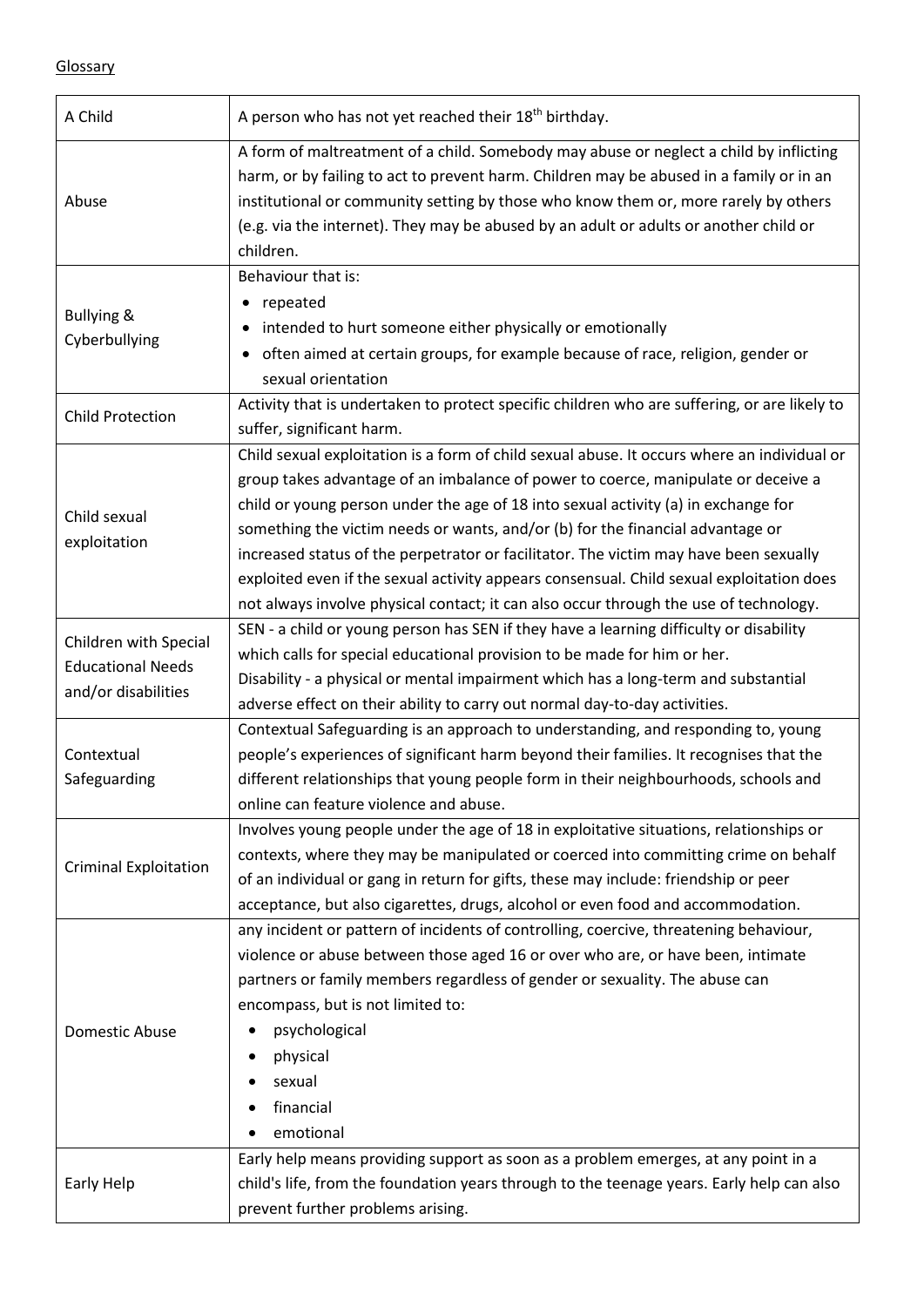|--|

| A Child                                                                  | A person who has not yet reached their 18 <sup>th</sup> birthday.                                                                                                                                                                                                                                                                                                                                                                                                                                                                                                                                                                      |  |  |
|--------------------------------------------------------------------------|----------------------------------------------------------------------------------------------------------------------------------------------------------------------------------------------------------------------------------------------------------------------------------------------------------------------------------------------------------------------------------------------------------------------------------------------------------------------------------------------------------------------------------------------------------------------------------------------------------------------------------------|--|--|
| Abuse                                                                    | A form of maltreatment of a child. Somebody may abuse or neglect a child by inflicting<br>harm, or by failing to act to prevent harm. Children may be abused in a family or in an<br>institutional or community setting by those who know them or, more rarely by others<br>(e.g. via the internet). They may be abused by an adult or adults or another child or<br>children.                                                                                                                                                                                                                                                         |  |  |
| <b>Bullying &amp;</b><br>Cyberbullying                                   | Behaviour that is:<br>repeated<br>intended to hurt someone either physically or emotionally<br>often aimed at certain groups, for example because of race, religion, gender or<br>$\bullet$<br>sexual orientation                                                                                                                                                                                                                                                                                                                                                                                                                      |  |  |
| <b>Child Protection</b>                                                  | Activity that is undertaken to protect specific children who are suffering, or are likely to<br>suffer, significant harm.                                                                                                                                                                                                                                                                                                                                                                                                                                                                                                              |  |  |
| Child sexual<br>exploitation                                             | Child sexual exploitation is a form of child sexual abuse. It occurs where an individual or<br>group takes advantage of an imbalance of power to coerce, manipulate or deceive a<br>child or young person under the age of 18 into sexual activity (a) in exchange for<br>something the victim needs or wants, and/or (b) for the financial advantage or<br>increased status of the perpetrator or facilitator. The victim may have been sexually<br>exploited even if the sexual activity appears consensual. Child sexual exploitation does<br>not always involve physical contact; it can also occur through the use of technology. |  |  |
| Children with Special<br><b>Educational Needs</b><br>and/or disabilities | SEN - a child or young person has SEN if they have a learning difficulty or disability<br>which calls for special educational provision to be made for him or her.<br>Disability - a physical or mental impairment which has a long-term and substantial<br>adverse effect on their ability to carry out normal day-to-day activities.                                                                                                                                                                                                                                                                                                 |  |  |
| Contextual<br>Safeguarding                                               | Contextual Safeguarding is an approach to understanding, and responding to, young<br>people's experiences of significant harm beyond their families. It recognises that the<br>different relationships that young people form in their neighbourhoods, schools and<br>online can feature violence and abuse.                                                                                                                                                                                                                                                                                                                           |  |  |
| <b>Criminal Exploitation</b>                                             | Involves young people under the age of 18 in exploitative situations, relationships or<br>contexts, where they may be manipulated or coerced into committing crime on behalf<br>of an individual or gang in return for gifts, these may include: friendship or peer<br>acceptance, but also cigarettes, drugs, alcohol or even food and accommodation.                                                                                                                                                                                                                                                                                 |  |  |
| Domestic Abuse                                                           | any incident or pattern of incidents of controlling, coercive, threatening behaviour,<br>violence or abuse between those aged 16 or over who are, or have been, intimate<br>partners or family members regardless of gender or sexuality. The abuse can<br>encompass, but is not limited to:<br>psychological<br>physical<br>sexual<br>financial<br>emotional                                                                                                                                                                                                                                                                          |  |  |
| Early Help                                                               | Early help means providing support as soon as a problem emerges, at any point in a<br>child's life, from the foundation years through to the teenage years. Early help can also<br>prevent further problems arising.                                                                                                                                                                                                                                                                                                                                                                                                                   |  |  |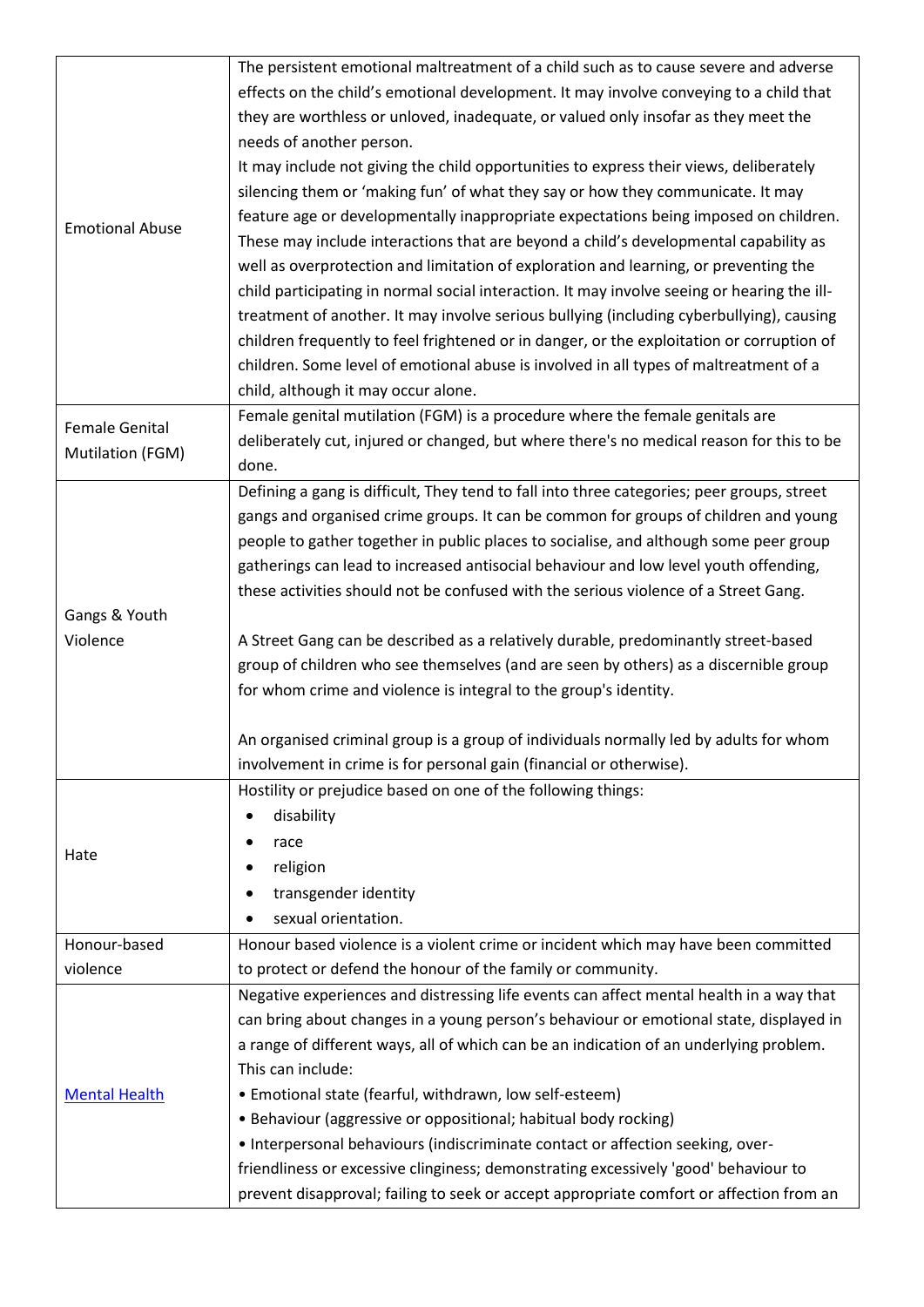|                        | The persistent emotional maltreatment of a child such as to cause severe and adverse        |
|------------------------|---------------------------------------------------------------------------------------------|
|                        | effects on the child's emotional development. It may involve conveying to a child that      |
|                        | they are worthless or unloved, inadequate, or valued only insofar as they meet the          |
|                        | needs of another person.                                                                    |
|                        | It may include not giving the child opportunities to express their views, deliberately      |
|                        | silencing them or 'making fun' of what they say or how they communicate. It may             |
|                        | feature age or developmentally inappropriate expectations being imposed on children.        |
| <b>Emotional Abuse</b> | These may include interactions that are beyond a child's developmental capability as        |
|                        | well as overprotection and limitation of exploration and learning, or preventing the        |
|                        | child participating in normal social interaction. It may involve seeing or hearing the ill- |
|                        | treatment of another. It may involve serious bullying (including cyberbullying), causing    |
|                        | children frequently to feel frightened or in danger, or the exploitation or corruption of   |
|                        |                                                                                             |
|                        | children. Some level of emotional abuse is involved in all types of maltreatment of a       |
|                        | child, although it may occur alone.                                                         |
| <b>Female Genital</b>  | Female genital mutilation (FGM) is a procedure where the female genitals are                |
| Mutilation (FGM)       | deliberately cut, injured or changed, but where there's no medical reason for this to be    |
|                        | done.                                                                                       |
|                        | Defining a gang is difficult, They tend to fall into three categories; peer groups, street  |
|                        | gangs and organised crime groups. It can be common for groups of children and young         |
|                        | people to gather together in public places to socialise, and although some peer group       |
|                        | gatherings can lead to increased antisocial behaviour and low level youth offending,        |
|                        | these activities should not be confused with the serious violence of a Street Gang.         |
| Gangs & Youth          |                                                                                             |
| Violence               | A Street Gang can be described as a relatively durable, predominantly street-based          |
|                        | group of children who see themselves (and are seen by others) as a discernible group        |
|                        | for whom crime and violence is integral to the group's identity.                            |
|                        |                                                                                             |
|                        | An organised criminal group is a group of individuals normally led by adults for whom       |
|                        | involvement in crime is for personal gain (financial or otherwise).                         |
|                        | Hostility or prejudice based on one of the following things:                                |
|                        | disability                                                                                  |
|                        | race                                                                                        |
| Hate                   | religion                                                                                    |
|                        | transgender identity                                                                        |
|                        | sexual orientation.                                                                         |
| Honour-based           | Honour based violence is a violent crime or incident which may have been committed          |
|                        |                                                                                             |
| violence               | to protect or defend the honour of the family or community.                                 |
|                        | Negative experiences and distressing life events can affect mental health in a way that     |
|                        | can bring about changes in a young person's behaviour or emotional state, displayed in      |
|                        | a range of different ways, all of which can be an indication of an underlying problem.      |
|                        | This can include:                                                                           |
| <b>Mental Health</b>   | • Emotional state (fearful, withdrawn, low self-esteem)                                     |
|                        | • Behaviour (aggressive or oppositional; habitual body rocking)                             |
|                        | • Interpersonal behaviours (indiscriminate contact or affection seeking, over-              |
|                        | friendliness or excessive clinginess; demonstrating excessively 'good' behaviour to         |
|                        | prevent disapproval; failing to seek or accept appropriate comfort or affection from an     |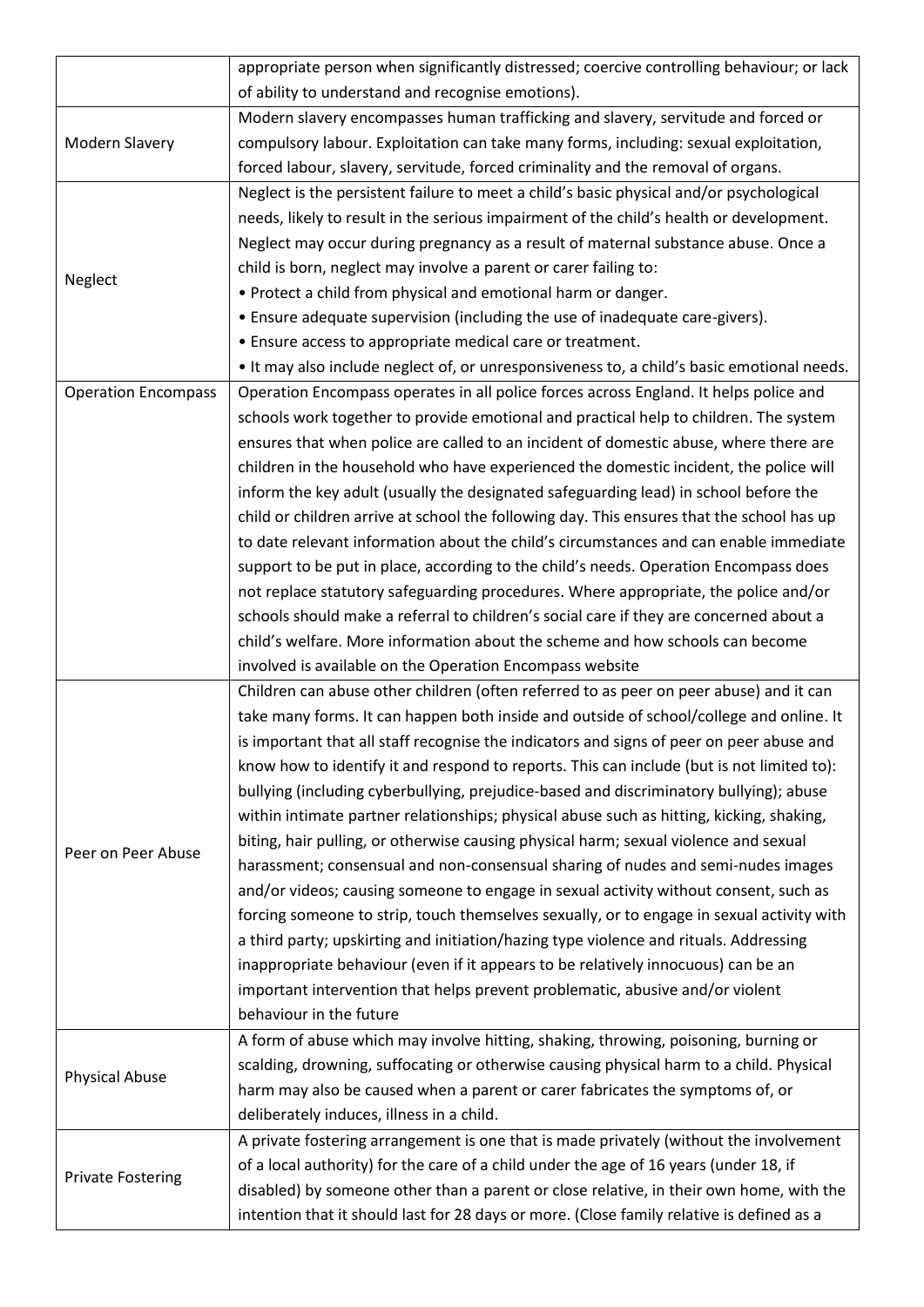|                            | appropriate person when significantly distressed; coercive controlling behaviour; or lack  |
|----------------------------|--------------------------------------------------------------------------------------------|
|                            | of ability to understand and recognise emotions).                                          |
|                            | Modern slavery encompasses human trafficking and slavery, servitude and forced or          |
| Modern Slavery             | compulsory labour. Exploitation can take many forms, including: sexual exploitation,       |
|                            | forced labour, slavery, servitude, forced criminality and the removal of organs.           |
|                            | Neglect is the persistent failure to meet a child's basic physical and/or psychological    |
|                            | needs, likely to result in the serious impairment of the child's health or development.    |
|                            | Neglect may occur during pregnancy as a result of maternal substance abuse. Once a         |
|                            | child is born, neglect may involve a parent or carer failing to:                           |
| Neglect                    | . Protect a child from physical and emotional harm or danger.                              |
|                            | • Ensure adequate supervision (including the use of inadequate care-givers).               |
|                            | • Ensure access to appropriate medical care or treatment.                                  |
|                            | . It may also include neglect of, or unresponsiveness to, a child's basic emotional needs. |
| <b>Operation Encompass</b> | Operation Encompass operates in all police forces across England. It helps police and      |
|                            | schools work together to provide emotional and practical help to children. The system      |
|                            | ensures that when police are called to an incident of domestic abuse, where there are      |
|                            | children in the household who have experienced the domestic incident, the police will      |
|                            | inform the key adult (usually the designated safeguarding lead) in school before the       |
|                            | child or children arrive at school the following day. This ensures that the school has up  |
|                            | to date relevant information about the child's circumstances and can enable immediate      |
|                            | support to be put in place, according to the child's needs. Operation Encompass does       |
|                            | not replace statutory safeguarding procedures. Where appropriate, the police and/or        |
|                            | schools should make a referral to children's social care if they are concerned about a     |
|                            | child's welfare. More information about the scheme and how schools can become              |
|                            | involved is available on the Operation Encompass website                                   |
|                            | Children can abuse other children (often referred to as peer on peer abuse) and it can     |
|                            | take many forms. It can happen both inside and outside of school/college and online. It    |
|                            | is important that all staff recognise the indicators and signs of peer on peer abuse and   |
|                            | know how to identify it and respond to reports. This can include (but is not limited to):  |
|                            | bullying (including cyberbullying, prejudice-based and discriminatory bullying); abuse     |
|                            | within intimate partner relationships; physical abuse such as hitting, kicking, shaking,   |
| Peer on Peer Abuse         | biting, hair pulling, or otherwise causing physical harm; sexual violence and sexual       |
|                            | harassment; consensual and non-consensual sharing of nudes and semi-nudes images           |
|                            | and/or videos; causing someone to engage in sexual activity without consent, such as       |
|                            | forcing someone to strip, touch themselves sexually, or to engage in sexual activity with  |
|                            | a third party; upskirting and initiation/hazing type violence and rituals. Addressing      |
|                            | inappropriate behaviour (even if it appears to be relatively innocuous) can be an          |
|                            | important intervention that helps prevent problematic, abusive and/or violent              |
|                            | behaviour in the future                                                                    |
|                            | A form of abuse which may involve hitting, shaking, throwing, poisoning, burning or        |
| <b>Physical Abuse</b>      | scalding, drowning, suffocating or otherwise causing physical harm to a child. Physical    |
|                            | harm may also be caused when a parent or carer fabricates the symptoms of, or              |
|                            | deliberately induces, illness in a child.                                                  |
|                            | A private fostering arrangement is one that is made privately (without the involvement     |
| <b>Private Fostering</b>   | of a local authority) for the care of a child under the age of 16 years (under 18, if      |
|                            | disabled) by someone other than a parent or close relative, in their own home, with the    |
|                            | intention that it should last for 28 days or more. (Close family relative is defined as a  |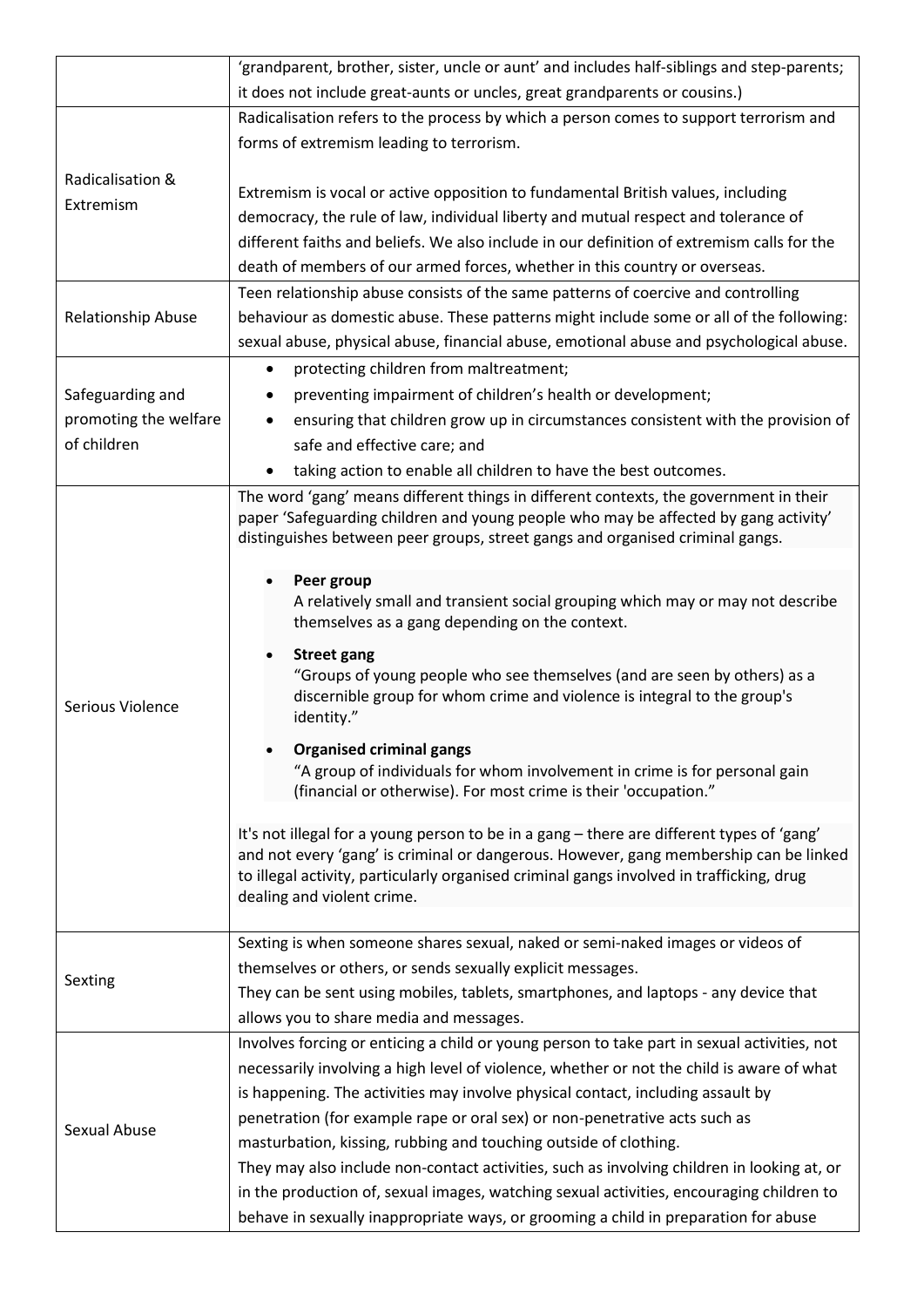|                       | 'grandparent, brother, sister, uncle or aunt' and includes half-siblings and step-parents;                                     |  |  |  |  |
|-----------------------|--------------------------------------------------------------------------------------------------------------------------------|--|--|--|--|
|                       | it does not include great-aunts or uncles, great grandparents or cousins.)                                                     |  |  |  |  |
|                       | Radicalisation refers to the process by which a person comes to support terrorism and                                          |  |  |  |  |
|                       | forms of extremism leading to terrorism.                                                                                       |  |  |  |  |
| Radicalisation &      |                                                                                                                                |  |  |  |  |
| Extremism             | Extremism is vocal or active opposition to fundamental British values, including                                               |  |  |  |  |
|                       | democracy, the rule of law, individual liberty and mutual respect and tolerance of                                             |  |  |  |  |
|                       | different faiths and beliefs. We also include in our definition of extremism calls for the                                     |  |  |  |  |
|                       | death of members of our armed forces, whether in this country or overseas.                                                     |  |  |  |  |
|                       | Teen relationship abuse consists of the same patterns of coercive and controlling                                              |  |  |  |  |
| Relationship Abuse    | behaviour as domestic abuse. These patterns might include some or all of the following:                                        |  |  |  |  |
|                       | sexual abuse, physical abuse, financial abuse, emotional abuse and psychological abuse.                                        |  |  |  |  |
|                       | protecting children from maltreatment;<br>$\bullet$                                                                            |  |  |  |  |
| Safeguarding and      | preventing impairment of children's health or development;<br>$\bullet$                                                        |  |  |  |  |
| promoting the welfare | ensuring that children grow up in circumstances consistent with the provision of<br>$\bullet$                                  |  |  |  |  |
| of children           | safe and effective care; and                                                                                                   |  |  |  |  |
|                       | taking action to enable all children to have the best outcomes.                                                                |  |  |  |  |
|                       | The word 'gang' means different things in different contexts, the government in their                                          |  |  |  |  |
|                       | paper 'Safeguarding children and young people who may be affected by gang activity'                                            |  |  |  |  |
|                       | distinguishes between peer groups, street gangs and organised criminal gangs.                                                  |  |  |  |  |
|                       | Peer group                                                                                                                     |  |  |  |  |
|                       | A relatively small and transient social grouping which may or may not describe                                                 |  |  |  |  |
|                       | themselves as a gang depending on the context.                                                                                 |  |  |  |  |
|                       | <b>Street gang</b>                                                                                                             |  |  |  |  |
|                       | "Groups of young people who see themselves (and are seen by others) as a                                                       |  |  |  |  |
| Serious Violence      | discernible group for whom crime and violence is integral to the group's                                                       |  |  |  |  |
|                       | identity."                                                                                                                     |  |  |  |  |
|                       | <b>Organised criminal gangs</b>                                                                                                |  |  |  |  |
|                       | "A group of individuals for whom involvement in crime is for personal gain                                                     |  |  |  |  |
|                       | (financial or otherwise). For most crime is their 'occupation."                                                                |  |  |  |  |
|                       | It's not illegal for a young person to be in a gang - there are different types of 'gang'                                      |  |  |  |  |
|                       | and not every 'gang' is criminal or dangerous. However, gang membership can be linked                                          |  |  |  |  |
|                       | to illegal activity, particularly organised criminal gangs involved in trafficking, drug                                       |  |  |  |  |
|                       | dealing and violent crime.                                                                                                     |  |  |  |  |
|                       | Sexting is when someone shares sexual, naked or semi-naked images or videos of                                                 |  |  |  |  |
|                       |                                                                                                                                |  |  |  |  |
| Sexting               | themselves or others, or sends sexually explicit messages.                                                                     |  |  |  |  |
|                       | They can be sent using mobiles, tablets, smartphones, and laptops - any device that<br>allows you to share media and messages. |  |  |  |  |
|                       | Involves forcing or enticing a child or young person to take part in sexual activities, not                                    |  |  |  |  |
|                       | necessarily involving a high level of violence, whether or not the child is aware of what                                      |  |  |  |  |
|                       | is happening. The activities may involve physical contact, including assault by                                                |  |  |  |  |
|                       | penetration (for example rape or oral sex) or non-penetrative acts such as                                                     |  |  |  |  |
| Sexual Abuse          | masturbation, kissing, rubbing and touching outside of clothing.                                                               |  |  |  |  |
|                       | They may also include non-contact activities, such as involving children in looking at, or                                     |  |  |  |  |
|                       | in the production of, sexual images, watching sexual activities, encouraging children to                                       |  |  |  |  |
|                       | behave in sexually inappropriate ways, or grooming a child in preparation for abuse                                            |  |  |  |  |
|                       |                                                                                                                                |  |  |  |  |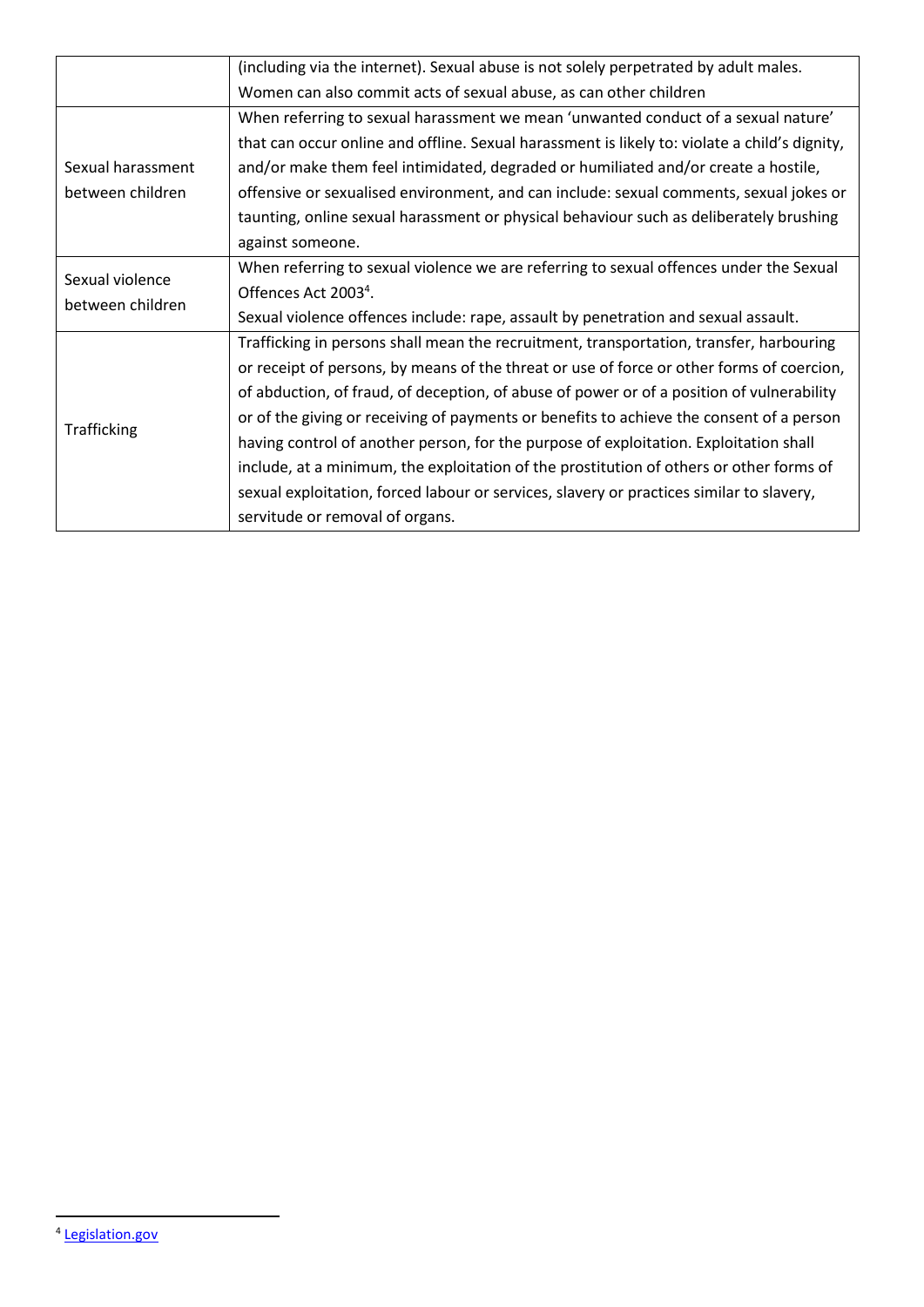|                   | (including via the internet). Sexual abuse is not solely perpetrated by adult males.          |
|-------------------|-----------------------------------------------------------------------------------------------|
|                   | Women can also commit acts of sexual abuse, as can other children                             |
|                   | When referring to sexual harassment we mean 'unwanted conduct of a sexual nature'             |
|                   | that can occur online and offline. Sexual harassment is likely to: violate a child's dignity, |
| Sexual harassment | and/or make them feel intimidated, degraded or humiliated and/or create a hostile,            |
| between children  | offensive or sexualised environment, and can include: sexual comments, sexual jokes or        |
|                   | taunting, online sexual harassment or physical behaviour such as deliberately brushing        |
|                   | against someone.                                                                              |
|                   | When referring to sexual violence we are referring to sexual offences under the Sexual        |
| Sexual violence   | Offences Act 2003 <sup>4</sup> .                                                              |
| between children  | Sexual violence offences include: rape, assault by penetration and sexual assault.            |
|                   | Trafficking in persons shall mean the recruitment, transportation, transfer, harbouring       |
|                   | or receipt of persons, by means of the threat or use of force or other forms of coercion,     |
|                   | of abduction, of fraud, of deception, of abuse of power or of a position of vulnerability     |
|                   | or of the giving or receiving of payments or benefits to achieve the consent of a person      |
| Trafficking       | having control of another person, for the purpose of exploitation. Exploitation shall         |
|                   | include, at a minimum, the exploitation of the prostitution of others or other forms of       |
|                   | sexual exploitation, forced labour or services, slavery or practices similar to slavery,      |
|                   | servitude or removal of organs.                                                               |

<u>.</u>

<sup>4</sup> [Legislation.gov](https://www.legislation.gov.uk/ukpga/2003/42/contents)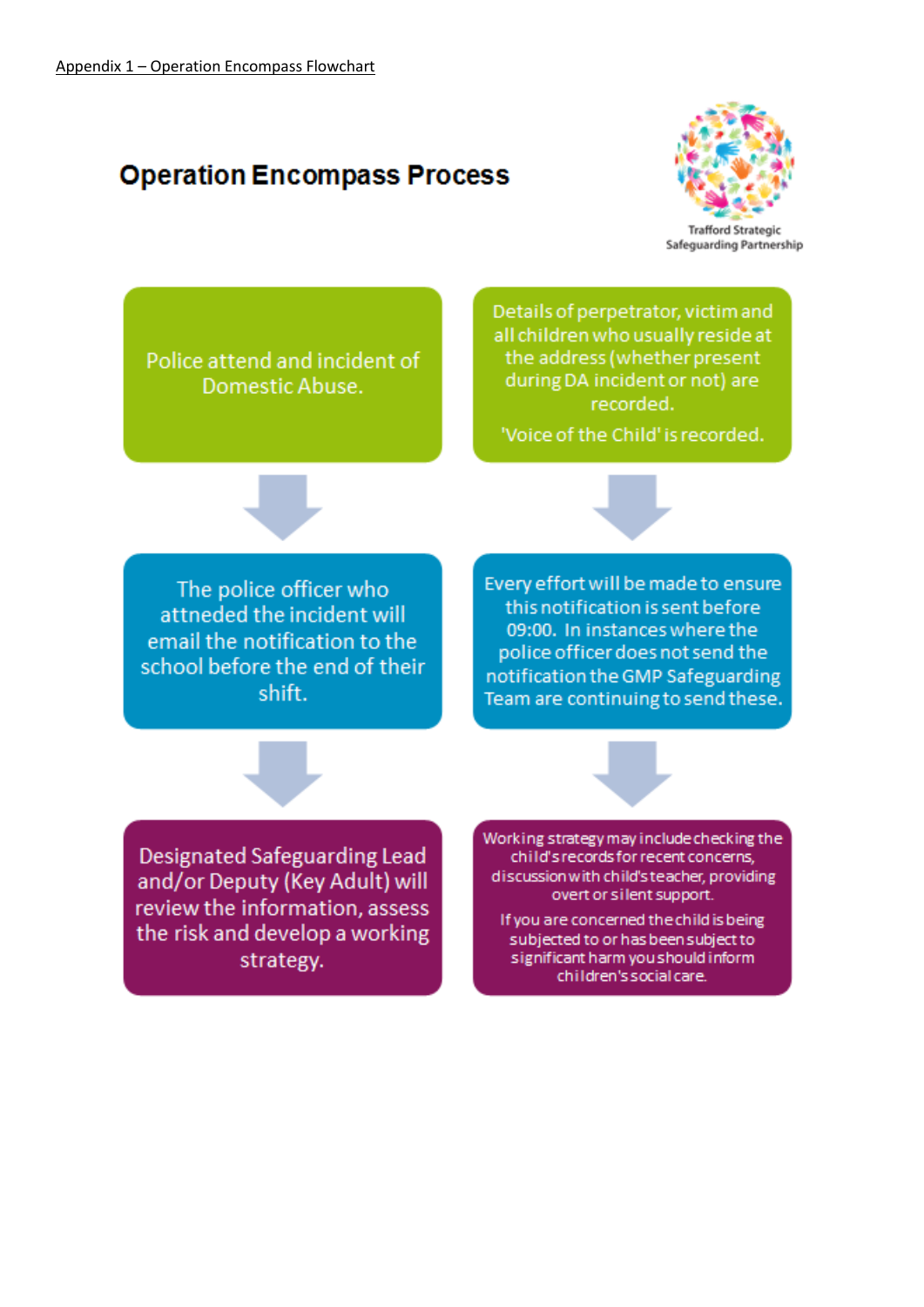# **Operation Encompass Process**



Police attend and incident of Domestic Abuse.

Details of perpetrator, victim and all children who usually reside at the address (whether present during DA incident or not) are recorded.

'Voice of the Child' is recorded.

The police officer who attneded the incident will email the notification to the school before the end of their shift.

Every effort will be made to ensure this notification is sent before 09:00. In instances where the police officer does not send the notification the GMP Safeguarding Team are continuing to send these.

**Designated Safeguarding Lead** and/or Deputy (Key Adult) will review the information, assess the risk and develop a working strategy.

Working strategy may include checking the child's records for recent concerns, discussion with child's teacher, providing overt or silent support.

If you are concerned the child is being subjected to or has been subject to significant harm you should inform children's social care.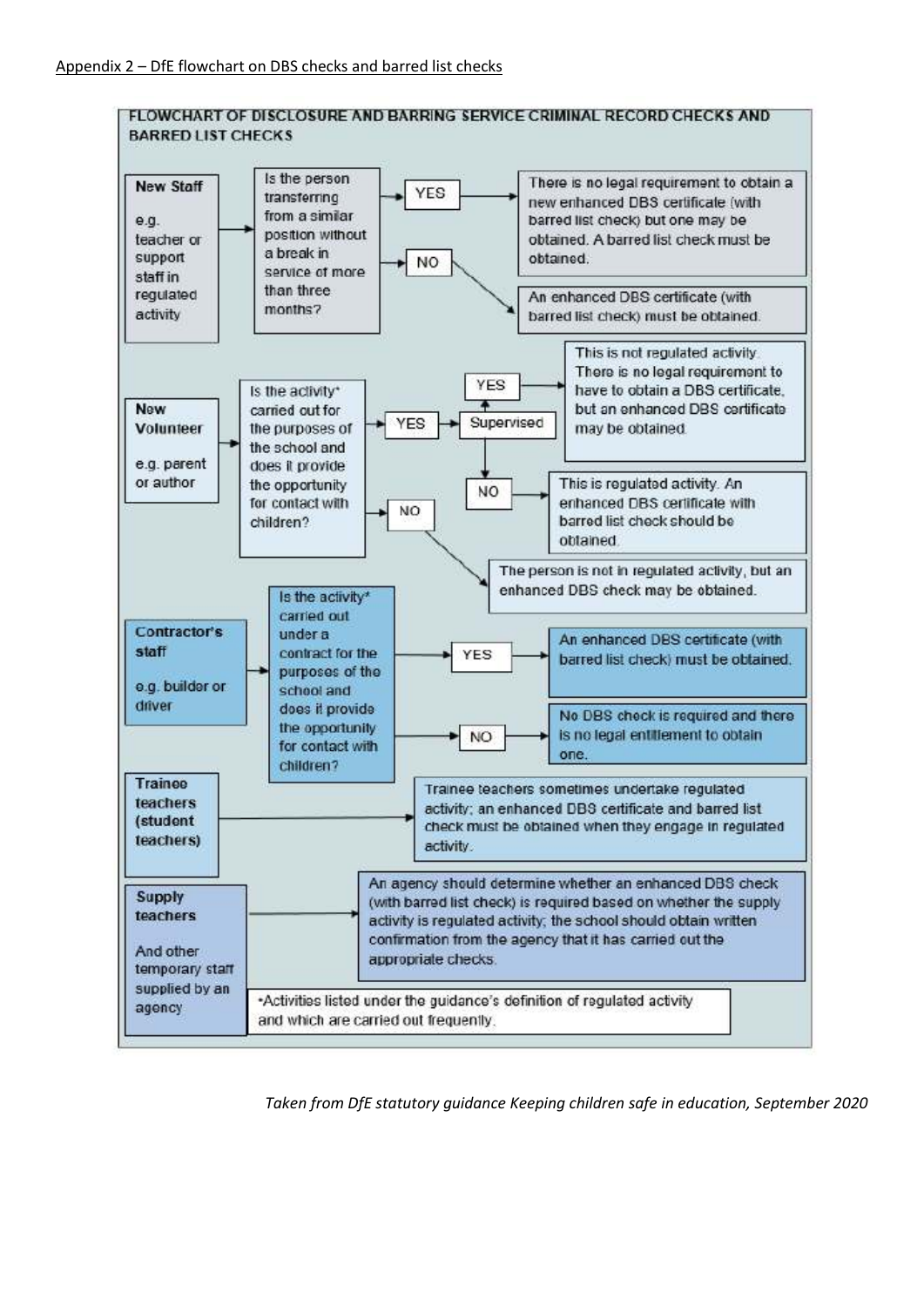

*Taken from DfE statutory guidance Keeping children safe in education, September 2020*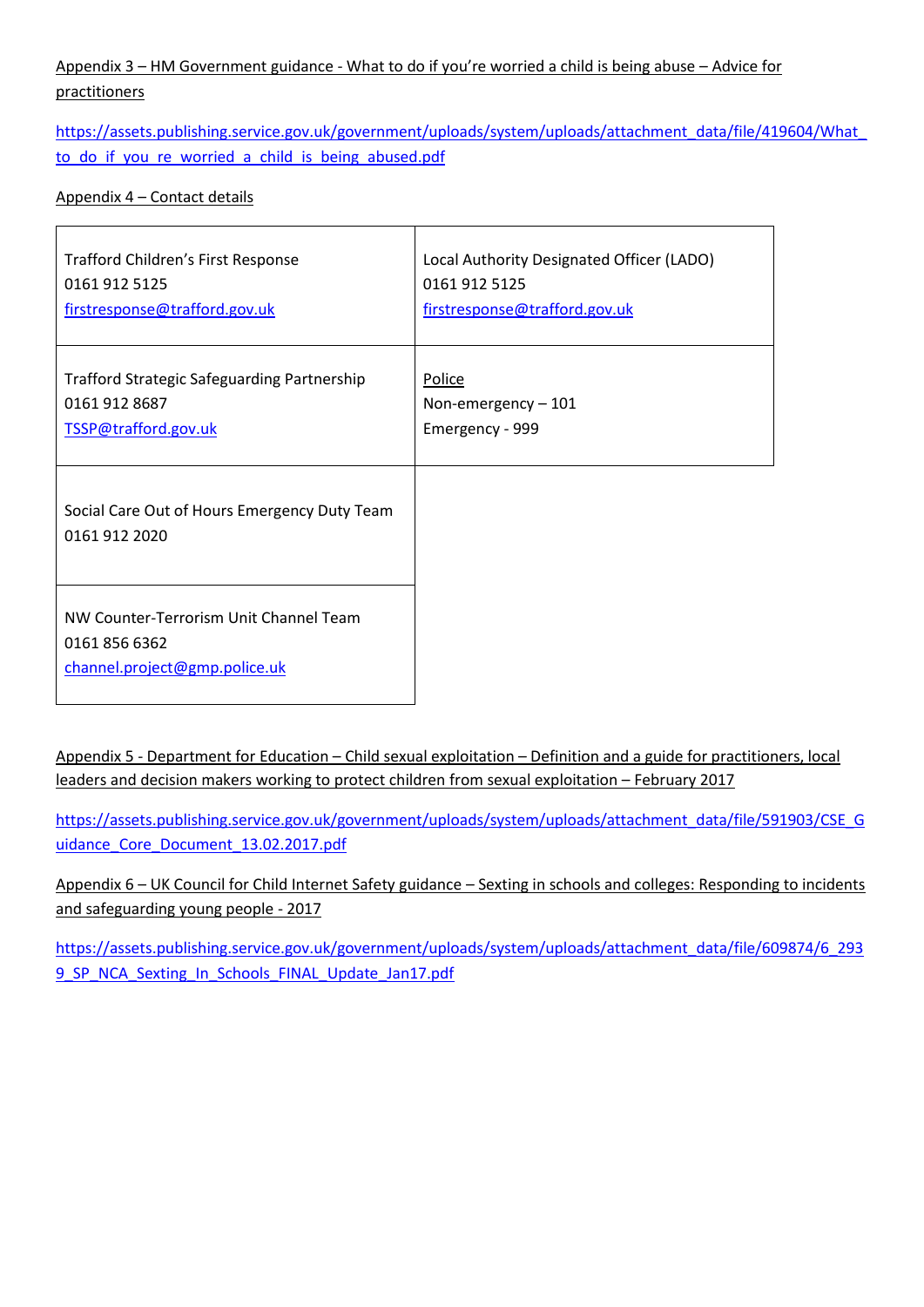### Appendix 3 – HM Government guidance - What to do if you're worried a child is being abuse – Advice for practitioners

[https://assets.publishing.service.gov.uk/government/uploads/system/uploads/attachment\\_data/file/419604/What\\_](https://assets.publishing.service.gov.uk/government/uploads/system/uploads/attachment_data/file/419604/What_to_do_if_you_re_worried_a_child_is_being_abused.pdf) to do if you re worried a child is being abused.pdf

#### Appendix 4 – Contact details

| Trafford Children's First Response                                                       | Local Authority Designated Officer (LADO) |
|------------------------------------------------------------------------------------------|-------------------------------------------|
| 0161 912 5125                                                                            | 0161 912 5125                             |
| firstresponse@trafford.gov.uk                                                            | firstresponse@trafford.gov.uk             |
| <b>Trafford Strategic Safeguarding Partnership</b>                                       | Police                                    |
| 0161 912 8687                                                                            | Non-emergency-101                         |
| TSSP@trafford.gov.uk                                                                     | Emergency - 999                           |
| Social Care Out of Hours Emergency Duty Team<br>0161 912 2020                            |                                           |
| NW Counter-Terrorism Unit Channel Team<br>0161 856 6362<br>channel.project@gmp.police.uk |                                           |

Appendix 5 - Department for Education – Child sexual exploitation – Definition and a guide for practitioners, local leaders and decision makers working to protect children from sexual exploitation – February 2017

[https://assets.publishing.service.gov.uk/government/uploads/system/uploads/attachment\\_data/file/591903/CSE\\_G](https://assets.publishing.service.gov.uk/government/uploads/system/uploads/attachment_data/file/591903/CSE_Guidance_Core_Document_13.02.2017.pdf) uidance Core Document 13.02.2017.pdf

Appendix 6 – UK Council for Child Internet Safety guidance – Sexting in schools and colleges: Responding to incidents and safeguarding young people - 2017

[https://assets.publishing.service.gov.uk/government/uploads/system/uploads/attachment\\_data/file/609874/6\\_293](https://assets.publishing.service.gov.uk/government/uploads/system/uploads/attachment_data/file/609874/6_2939_SP_NCA_Sexting_In_Schools_FINAL_Update_Jan17.pdf) 9\_SP\_NCA\_Sexting\_In\_Schools\_FINAL\_Update\_Jan17.pdf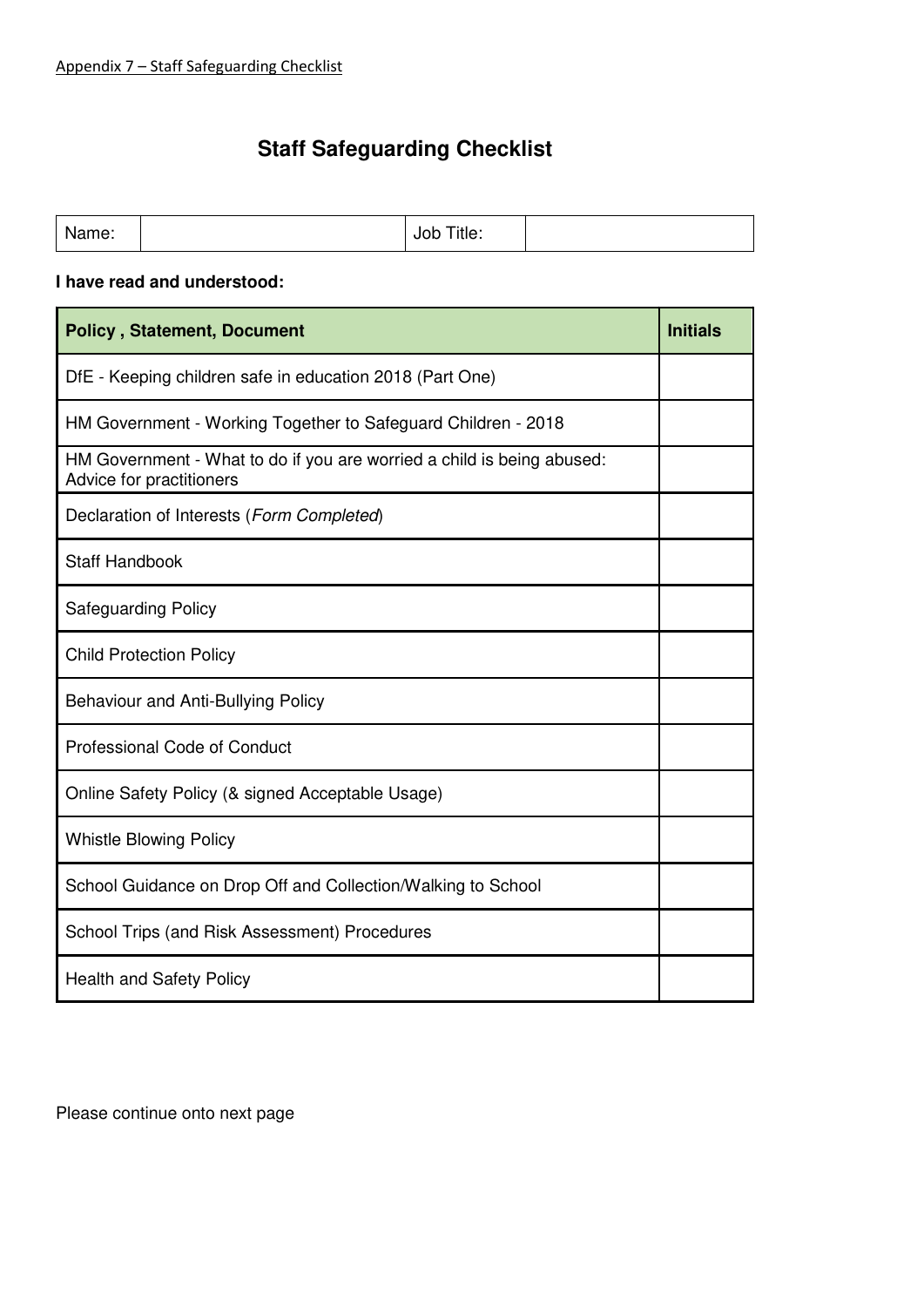# **Staff Safeguarding Checklist**

| Name: |  | Title:<br>JOD |  |
|-------|--|---------------|--|
|-------|--|---------------|--|

#### **I have read and understood:**

| <b>Policy, Statement, Document</b>                                                                 | <b>Initials</b> |
|----------------------------------------------------------------------------------------------------|-----------------|
| DfE - Keeping children safe in education 2018 (Part One)                                           |                 |
| HM Government - Working Together to Safeguard Children - 2018                                      |                 |
| HM Government - What to do if you are worried a child is being abused:<br>Advice for practitioners |                 |
| Declaration of Interests (Form Completed)                                                          |                 |
| <b>Staff Handbook</b>                                                                              |                 |
| <b>Safeguarding Policy</b>                                                                         |                 |
| <b>Child Protection Policy</b>                                                                     |                 |
| Behaviour and Anti-Bullying Policy                                                                 |                 |
| <b>Professional Code of Conduct</b>                                                                |                 |
| Online Safety Policy (& signed Acceptable Usage)                                                   |                 |
| <b>Whistle Blowing Policy</b>                                                                      |                 |
| School Guidance on Drop Off and Collection/Walking to School                                       |                 |
| School Trips (and Risk Assessment) Procedures                                                      |                 |
| <b>Health and Safety Policy</b>                                                                    |                 |

Please continue onto next page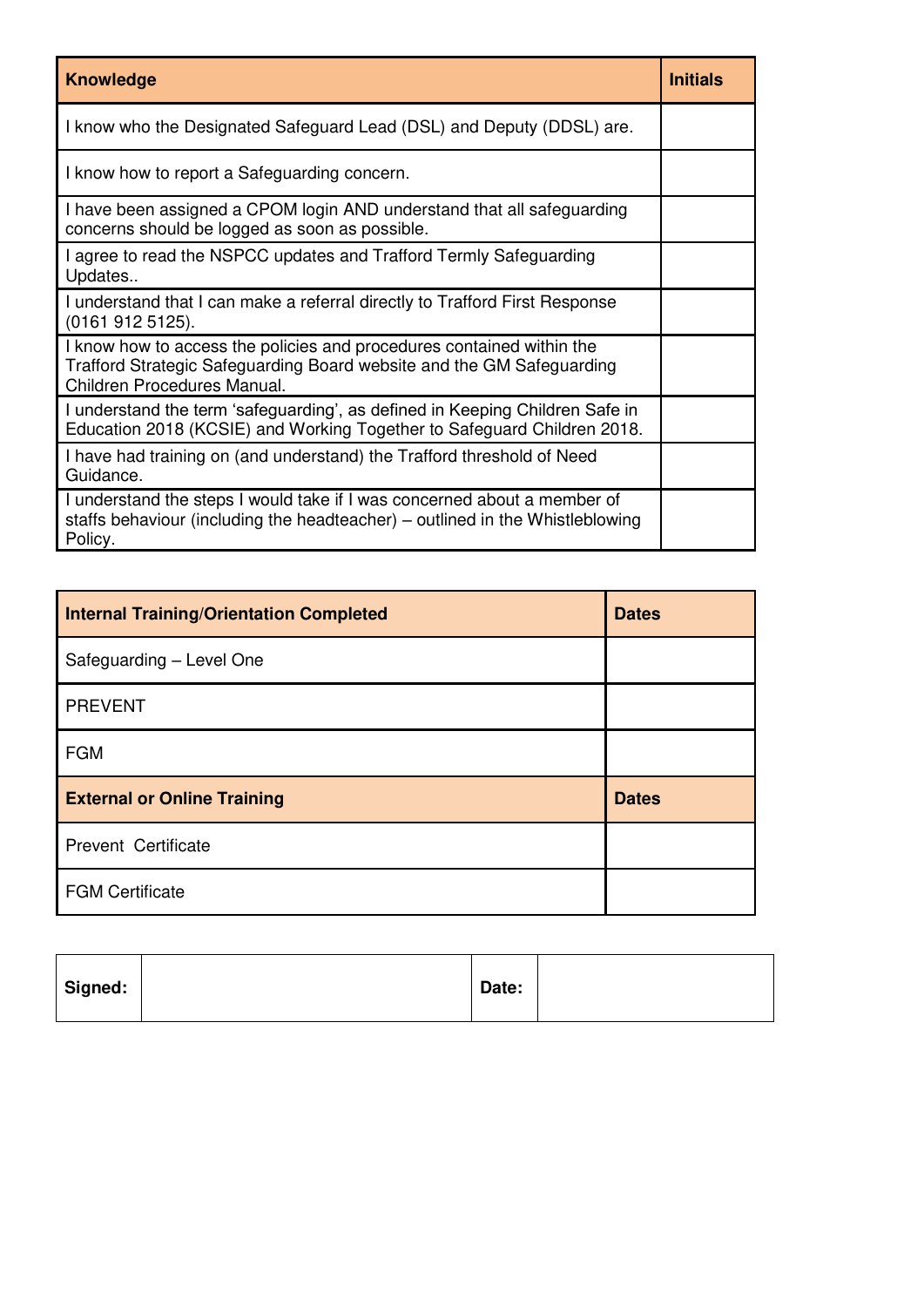| <b>Knowledge</b>                                                                                                                                                              | <b>Initials</b> |
|-------------------------------------------------------------------------------------------------------------------------------------------------------------------------------|-----------------|
| I know who the Designated Safeguard Lead (DSL) and Deputy (DDSL) are.                                                                                                         |                 |
| I know how to report a Safeguarding concern.                                                                                                                                  |                 |
| I have been assigned a CPOM login AND understand that all safeguarding<br>concerns should be logged as soon as possible.                                                      |                 |
| I agree to read the NSPCC updates and Trafford Termly Safeguarding<br>Updates                                                                                                 |                 |
| I understand that I can make a referral directly to Trafford First Response<br>(0161 912 5125).                                                                               |                 |
| I know how to access the policies and procedures contained within the<br>Trafford Strategic Safeguarding Board website and the GM Safeguarding<br>Children Procedures Manual. |                 |
| I understand the term 'safeguarding', as defined in Keeping Children Safe in<br>Education 2018 (KCSIE) and Working Together to Safeguard Children 2018.                       |                 |
| I have had training on (and understand) the Trafford threshold of Need<br>Guidance.                                                                                           |                 |
| I understand the steps I would take if I was concerned about a member of<br>staffs behaviour (including the headteacher) – outlined in the Whistleblowing<br>Policy.          |                 |

| <b>Internal Training/Orientation Completed</b> | <b>Dates</b> |
|------------------------------------------------|--------------|
| Safeguarding - Level One                       |              |
| <b>PREVENT</b>                                 |              |
| <b>FGM</b>                                     |              |
| <b>External or Online Training</b>             | <b>Dates</b> |
| <b>Prevent Certificate</b>                     |              |
| <b>FGM Certificate</b>                         |              |

| Signed: | Date: |  |
|---------|-------|--|
|         |       |  |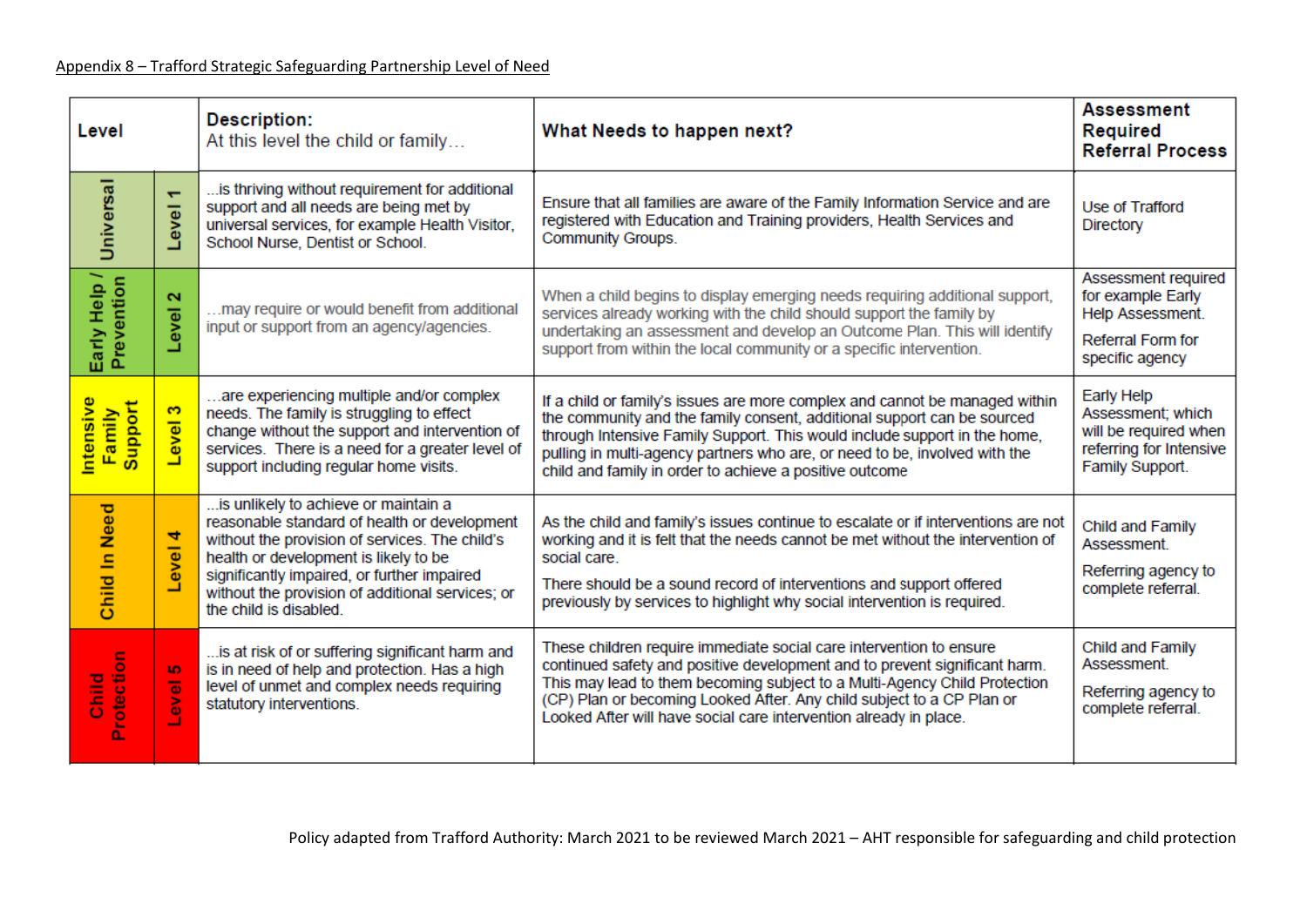| Level                         |                                             | <b>Description:</b><br>At this level the child or family                                                                                                                                                                                                                                                                                                                                                                                                                                                                                                                                                                                                | What Needs to happen next?                                                                                                                                                                                                                                                                                                                                                   | <b>Assessment</b><br><b>Required</b><br><b>Referral Process</b>                                        |
|-------------------------------|---------------------------------------------|---------------------------------------------------------------------------------------------------------------------------------------------------------------------------------------------------------------------------------------------------------------------------------------------------------------------------------------------------------------------------------------------------------------------------------------------------------------------------------------------------------------------------------------------------------------------------------------------------------------------------------------------------------|------------------------------------------------------------------------------------------------------------------------------------------------------------------------------------------------------------------------------------------------------------------------------------------------------------------------------------------------------------------------------|--------------------------------------------------------------------------------------------------------|
| <b>Universal</b>              | $\overline{\phantom{0}}$<br>Level           | is thriving without requirement for additional<br>support and all needs are being met by<br>universal services, for example Health Visitor,<br>School Nurse, Dentist or School.                                                                                                                                                                                                                                                                                                                                                                                                                                                                         | Ensure that all families are aware of the Family Information Service and are<br>registered with Education and Training providers, Health Services and<br>Community Groups.                                                                                                                                                                                                   | Use of Trafford<br>Directory                                                                           |
| Early Help /<br>Prevention    | $\mathbf{\alpha}$<br>evel                   | may require or would benefit from additional<br>input or support from an agency/agencies.                                                                                                                                                                                                                                                                                                                                                                                                                                                                                                                                                               | When a child begins to display emerging needs requiring additional support,<br>services already working with the child should support the family by<br>undertaking an assessment and develop an Outcome Plan. This will identify<br>support from within the local community or a specific intervention.                                                                      |                                                                                                        |
| ntensive<br>Support<br>Family | s<br>Level                                  | are experiencing multiple and/or complex<br>needs. The family is struggling to effect<br>change without the support and intervention of<br>services. There is a need for a greater level of<br>support including regular home visits.                                                                                                                                                                                                                                                                                                                                                                                                                   | If a child or family's issues are more complex and cannot be managed within<br>the community and the family consent, additional support can be sourced<br>through Intensive Family Support. This would include support in the home,<br>pulling in multi-agency partners who are, or need to be, involved with the<br>child and family in order to achieve a positive outcome | Early Help<br>Assessment; which<br>will be required when<br>referring for Intensive<br>Family Support. |
| <b>Child In Need</b>          | 4<br>eve<br>⊐                               | is unlikely to achieve or maintain a<br>As the child and family's issues continue to escalate or if interventions are not<br>reasonable standard of health or development<br>without the provision of services. The child's<br>working and it is felt that the needs cannot be met without the intervention of<br>health or development is likely to be<br>social care.<br>significantly impaired, or further impaired<br>There should be a sound record of interventions and support offered<br>without the provision of additional services; or<br>previously by services to highlight why social intervention is required.<br>the child is disabled. |                                                                                                                                                                                                                                                                                                                                                                              | Child and Family<br>Assessment.<br>Referring agency to<br>complete referral.                           |
| Protection<br>$\frac{10}{5}$  | <b>IO</b><br>$\overline{\bullet}$<br>š<br>ᆜ | is at risk of or suffering significant harm and<br>is in need of help and protection. Has a high<br>level of unmet and complex needs requiring<br>statutory interventions.                                                                                                                                                                                                                                                                                                                                                                                                                                                                              | These children require immediate social care intervention to ensure<br>continued safety and positive development and to prevent significant harm.<br>This may lead to them becoming subject to a Multi-Agency Child Protection<br>(CP) Plan or becoming Looked After. Any child subject to a CP Plan or<br>Looked After will have social care intervention already in place. | Child and Family<br>Assessment.<br>Referring agency to<br>complete referral.                           |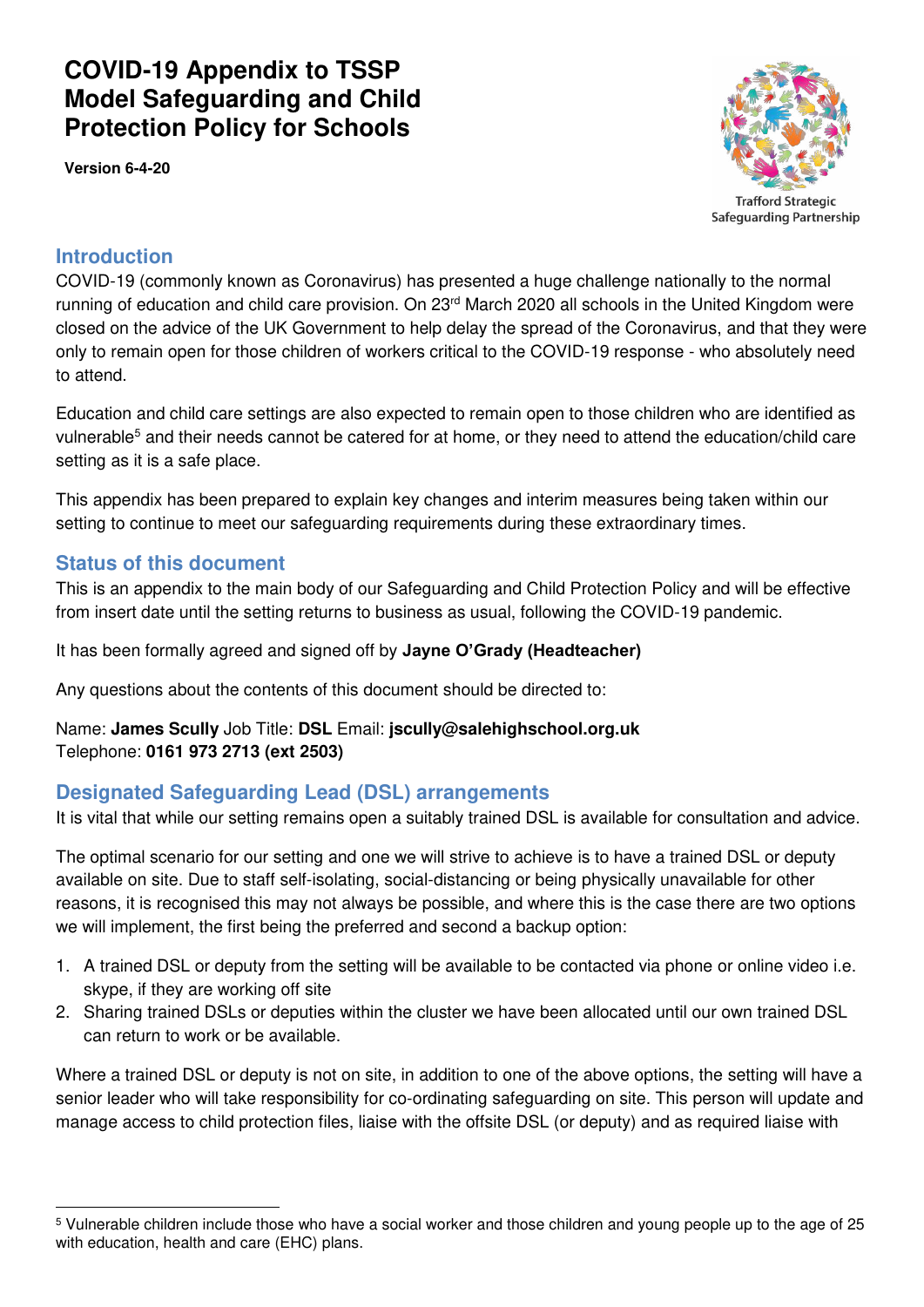# **COVID-19 Appendix to TSSP Model Safeguarding and Child Protection Policy for Schools**

**Version 6-4-20**



**Safeguarding Partnership** 

## **Introduction**

COVID-19 (commonly known as Coronavirus) has presented a huge challenge nationally to the normal running of education and child care provision. On  $23<sup>rd</sup>$  March 2020 all schools in the United Kingdom were closed on the advice of the UK Government to help delay the spread of the Coronavirus, and that they were only to remain open for those children of workers critical to the COVID-19 response - who absolutely need to attend.

Education and child care settings are also expected to remain open to those children who are identified as vulnerable<sup>5</sup> and their needs cannot be catered for at home, or they need to attend the education/child care setting as it is a safe place.

This appendix has been prepared to explain key changes and interim measures being taken within our setting to continue to meet our safeguarding requirements during these extraordinary times.

## **Status of this document**

<u>.</u>

This is an appendix to the main body of our Safeguarding and Child Protection Policy and will be effective from insert date until the setting returns to business as usual, following the COVID-19 pandemic.

It has been formally agreed and signed off by **Jayne O'Grady (Headteacher)**

Any questions about the contents of this document should be directed to:

#### Name: **James Scully** Job Title: **DSL** Email: **jscully@salehighschool.org.uk** Telephone: **0161 973 2713 (ext 2503)**

## **Designated Safeguarding Lead (DSL) arrangements**

It is vital that while our setting remains open a suitably trained DSL is available for consultation and advice.

The optimal scenario for our setting and one we will strive to achieve is to have a trained DSL or deputy available on site. Due to staff self-isolating, social-distancing or being physically unavailable for other reasons, it is recognised this may not always be possible, and where this is the case there are two options we will implement, the first being the preferred and second a backup option:

- 1. A trained DSL or deputy from the setting will be available to be contacted via phone or online video i.e. skype, if they are working off site
- 2. Sharing trained DSLs or deputies within the cluster we have been allocated until our own trained DSL can return to work or be available.

Where a trained DSL or deputy is not on site, in addition to one of the above options, the setting will have a senior leader who will take responsibility for co-ordinating safeguarding on site. This person will update and manage access to child protection files, liaise with the offsite DSL (or deputy) and as required liaise with

<sup>5</sup> Vulnerable children include those who have a social worker and those children and young people up to the age of 25 with education, health and care (EHC) plans.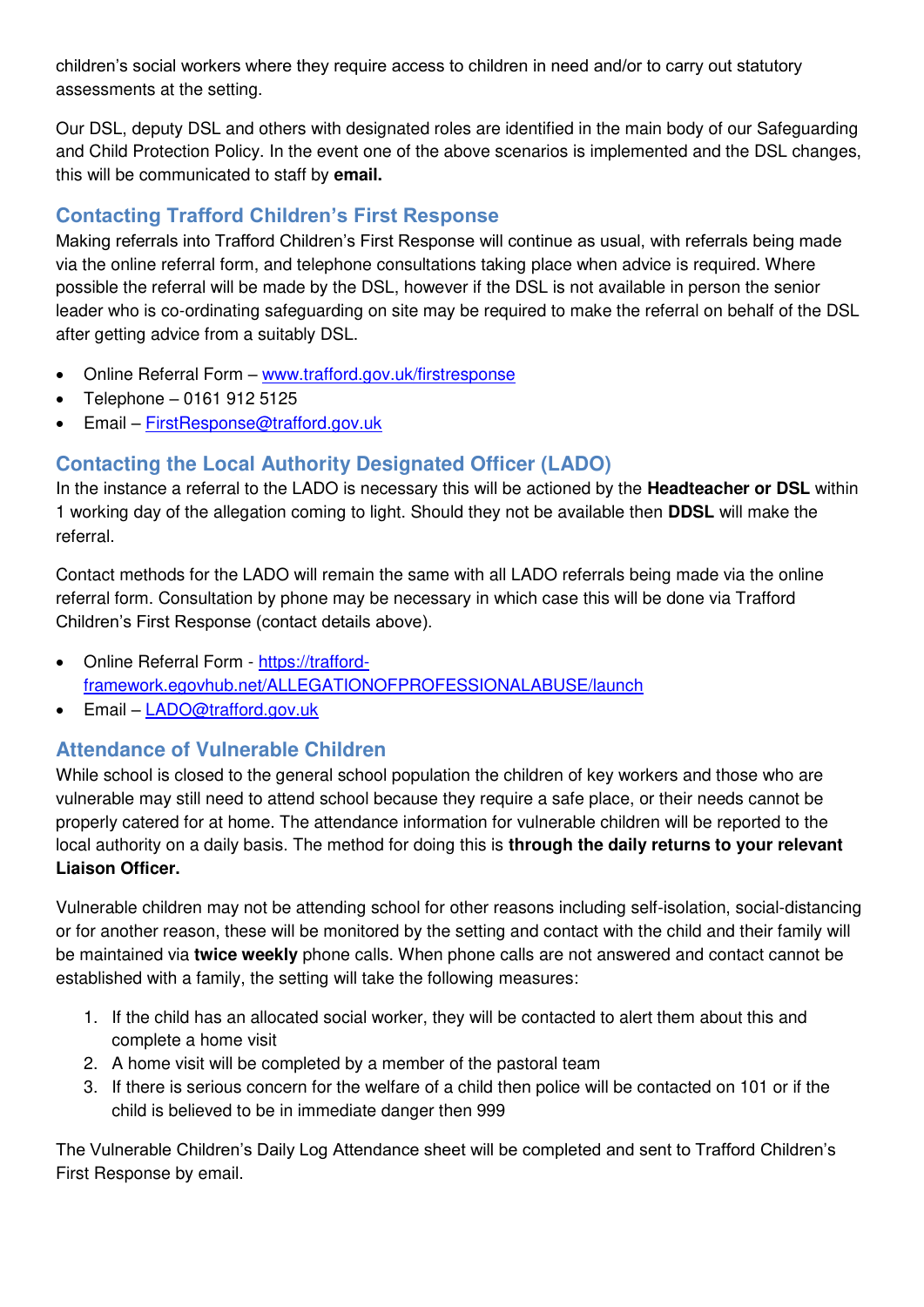children's social workers where they require access to children in need and/or to carry out statutory assessments at the setting.

Our DSL, deputy DSL and others with designated roles are identified in the main body of our Safeguarding and Child Protection Policy. In the event one of the above scenarios is implemented and the DSL changes, this will be communicated to staff by **email.** 

# **Contacting Trafford Children's First Response**

Making referrals into Trafford Children's First Response will continue as usual, with referrals being made via the online referral form, and telephone consultations taking place when advice is required. Where possible the referral will be made by the DSL, however if the DSL is not available in person the senior leader who is co-ordinating safeguarding on site may be required to make the referral on behalf of the DSL after getting advice from a suitably DSL.

- Online Referral Form [www.trafford.gov.uk/firstresponse](http://www.trafford.gov.uk/firstresponse)
- Telephone 0161 912 5125
- Email [FirstResponse@trafford.gov.uk](mailto:FirstResponse@trafford.gov.uk)

# **Contacting the Local Authority Designated Officer (LADO)**

In the instance a referral to the LADO is necessary this will be actioned by the **Headteacher or DSL** within 1 working day of the allegation coming to light. Should they not be available then **DDSL** will make the referral.

Contact methods for the LADO will remain the same with all LADO referrals being made via the online referral form. Consultation by phone may be necessary in which case this will be done via Trafford Children's First Response (contact details above).

- Online Referral Form - [https://trafford](https://trafford-framework.egovhub.net/ALLEGATIONOFPROFESSIONALABUSE/launch)[framework.egovhub.net/ALLEGATIONOFPROFESSIONALABUSE/launch](https://trafford-framework.egovhub.net/ALLEGATIONOFPROFESSIONALABUSE/launch)
- Email [LADO@trafford.gov.uk](mailto:LADO@trafford.gov.uk)

# **Attendance of Vulnerable Children**

While school is closed to the general school population the children of key workers and those who are vulnerable may still need to attend school because they require a safe place, or their needs cannot be properly catered for at home. The attendance information for vulnerable children will be reported to the local authority on a daily basis. The method for doing this is **through the daily returns to your relevant Liaison Officer.** 

Vulnerable children may not be attending school for other reasons including self-isolation, social-distancing or for another reason, these will be monitored by the setting and contact with the child and their family will be maintained via **twice weekly** phone calls. When phone calls are not answered and contact cannot be established with a family, the setting will take the following measures:

- 1. If the child has an allocated social worker, they will be contacted to alert them about this and complete a home visit
- 2. A home visit will be completed by a member of the pastoral team
- 3. If there is serious concern for the welfare of a child then police will be contacted on 101 or if the child is believed to be in immediate danger then 999

The Vulnerable Children's Daily Log Attendance sheet will be completed and sent to Trafford Children's First Response by email.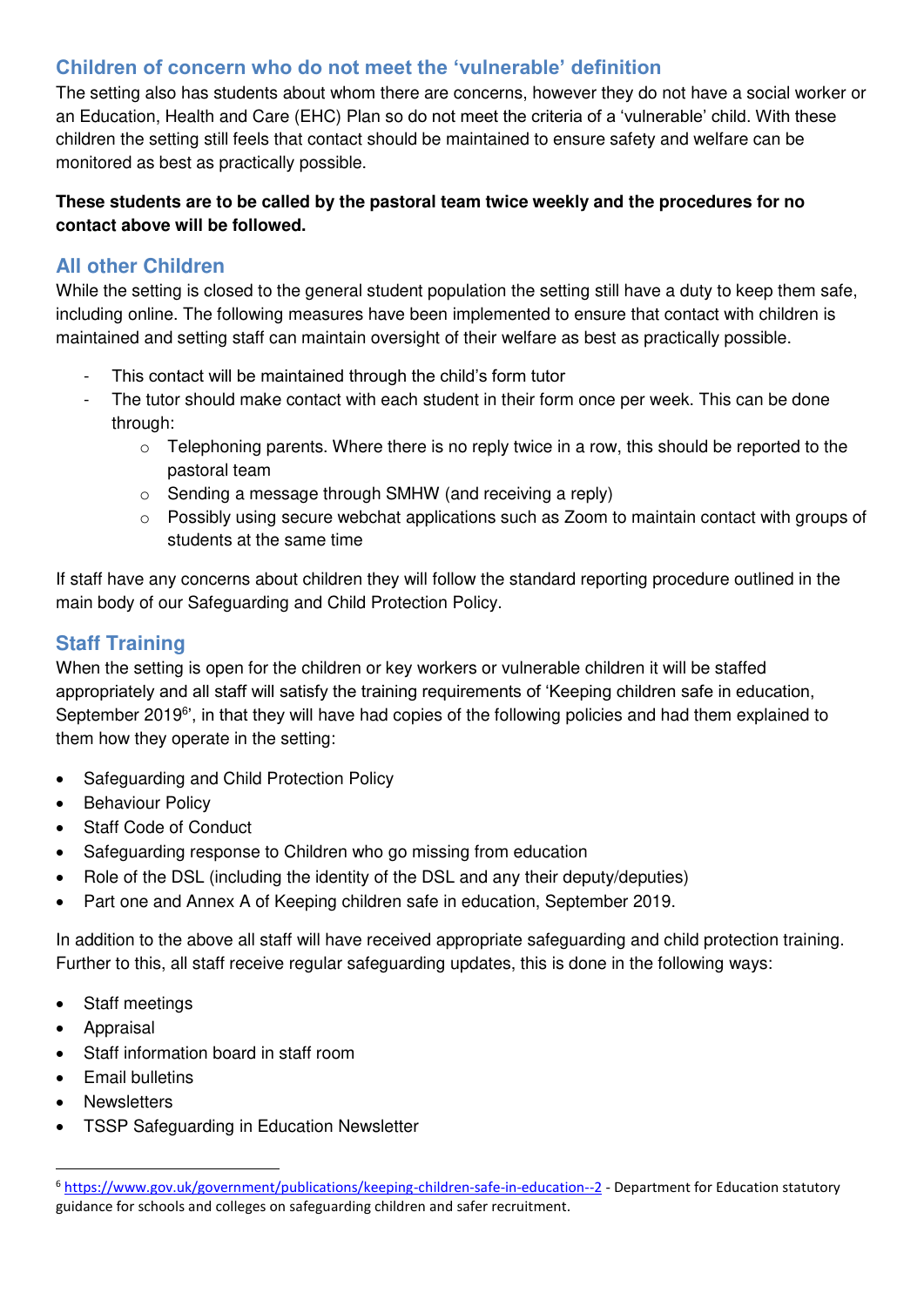# **Children of concern who do not meet the 'vulnerable' definition**

The setting also has students about whom there are concerns, however they do not have a social worker or an Education, Health and Care (EHC) Plan so do not meet the criteria of a 'vulnerable' child. With these children the setting still feels that contact should be maintained to ensure safety and welfare can be monitored as best as practically possible.

#### **These students are to be called by the pastoral team twice weekly and the procedures for no contact above will be followed.**

# **All other Children**

While the setting is closed to the general student population the setting still have a duty to keep them safe, including online. The following measures have been implemented to ensure that contact with children is maintained and setting staff can maintain oversight of their welfare as best as practically possible.

- This contact will be maintained through the child's form tutor
- The tutor should make contact with each student in their form once per week. This can be done through:
	- $\circ$  Telephoning parents. Where there is no reply twice in a row, this should be reported to the pastoral team
	- o Sending a message through SMHW (and receiving a reply)
	- o Possibly using secure webchat applications such as Zoom to maintain contact with groups of students at the same time

If staff have any concerns about children they will follow the standard reporting procedure outlined in the main body of our Safeguarding and Child Protection Policy.

# **Staff Training**

When the setting is open for the children or key workers or vulnerable children it will be staffed appropriately and all staff will satisfy the training requirements of 'Keeping children safe in education, September 2019<sup>6</sup>', in that they will have had copies of the following policies and had them explained to them how they operate in the setting:

- Safeguarding and Child Protection Policy
- Behaviour Policy
- Staff Code of Conduct
- Safeguarding response to Children who go missing from education
- Role of the DSL (including the identity of the DSL and any their deputy/deputies)
- Part one and Annex A of Keeping children safe in education, September 2019.

In addition to the above all staff will have received appropriate safeguarding and child protection training. Further to this, all staff receive regular safeguarding updates, this is done in the following ways:

- Staff meetings
- Appraisal
- Staff information board in staff room
- Email bulletins
- **Newsletters**

-

TSSP Safeguarding in Education Newsletter

<sup>6</sup> <https://www.gov.uk/government/publications/keeping-children-safe-in-education--2>- Department for Education statutory guidance for schools and colleges on safeguarding children and safer recruitment.